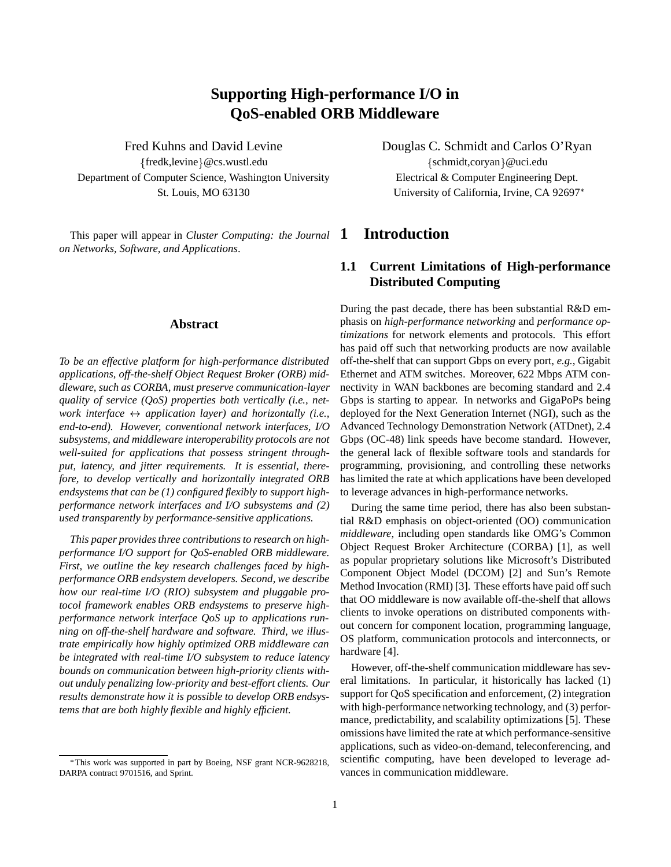# **Supporting High-performance I/O in QoS-enabled ORB Middleware**

Fred Kuhns and David Levine Douglas C. Schmidt and Carlos O'Ryan {fredk,levine}@cs.wustl.edu fschmidt,coryan}@uci.edu Department of Computer Science, Washington University Electrical & Computer Engineering Dept.

This paper will appear in *Cluster Computing: the Journal on Networks, Software, and Applications*.

### **Abstract**

*To be an effective platform for high-performance distributed applications, off-the-shelf Object Request Broker (ORB) middleware, such as CORBA, must preserve communication-layer quality of service (QoS) properties both vertically (i.e., network interface*  $\leftrightarrow$  *application layer*) and *horizontally (i.e., end-to-end). However, conventional network interfaces, I/O subsystems, and middleware interoperability protocols are not well-suited for applications that possess stringent throughput, latency, and jitter requirements. It is essential, therefore, to develop vertically and horizontally integrated ORB endsystems that can be (1) configured flexibly to support highperformance network interfaces and I/O subsystems and (2) used transparently by performance-sensitive applications.*

*This paper provides three contributions to research on highperformance I/O support for QoS-enabled ORB middleware. First, we outline the key research challenges faced by highperformance ORB endsystem developers. Second, we describe how our real-time I/O (RIO) subsystem and pluggable protocol framework enables ORB endsystems to preserve highperformance network interface QoS up to applications running on off-the-shelf hardware and software. Third, we illustrate empirically how highly optimized ORB middleware can be integrated with real-time I/O subsystem to reduce latency bounds on communication between high-priority clients without unduly penalizing low-priority and best-effort clients. Our results demonstrate how it is possible to develop ORB endsystems that are both highly flexible and highly efficient.*

 This work was supported in part by Boeing, NSF grant NCR-9628218, DARPA contract 9701516, and Sprint.

St. Louis, MO 63130 University of California, Irvine, CA 92697

## **1 Introduction**

## **1.1 Current Limitations of High-performance Distributed Computing**

During the past decade, there has been substantial R&D emphasis on *high-performance networking* and *performance optimizations* for network elements and protocols. This effort has paid off such that networking products are now available off-the-shelf that can support Gbps on every port, *e.g.*, Gigabit Ethernet and ATM switches. Moreover, 622 Mbps ATM connectivity in WAN backbones are becoming standard and 2.4 Gbps is starting to appear. In networks and GigaPoPs being deployed for the Next Generation Internet (NGI), such as the Advanced Technology Demonstration Network (ATDnet), 2.4 Gbps (OC-48) link speeds have become standard. However, the general lack of flexible software tools and standards for programming, provisioning, and controlling these networks has limited the rate at which applications have been developed to leverage advances in high-performance networks.

During the same time period, there has also been substantial R&D emphasis on object-oriented (OO) communication *middleware*, including open standards like OMG's Common Object Request Broker Architecture (CORBA) [1], as well as popular proprietary solutions like Microsoft's Distributed Component Object Model (DCOM) [2] and Sun's Remote Method Invocation (RMI) [3]. These efforts have paid off such that OO middleware is now available off-the-shelf that allows clients to invoke operations on distributed components without concern for component location, programming language, OS platform, communication protocols and interconnects, or hardware [4].

However, off-the-shelf communication middleware has several limitations. In particular, it historically has lacked (1) support for QoS specification and enforcement, (2) integration with high-performance networking technology, and (3) performance, predictability, and scalability optimizations [5]. These omissions have limited the rate at which performance-sensitive applications, such as video-on-demand, teleconferencing, and scientific computing, have been developed to leverage advances in communication middleware.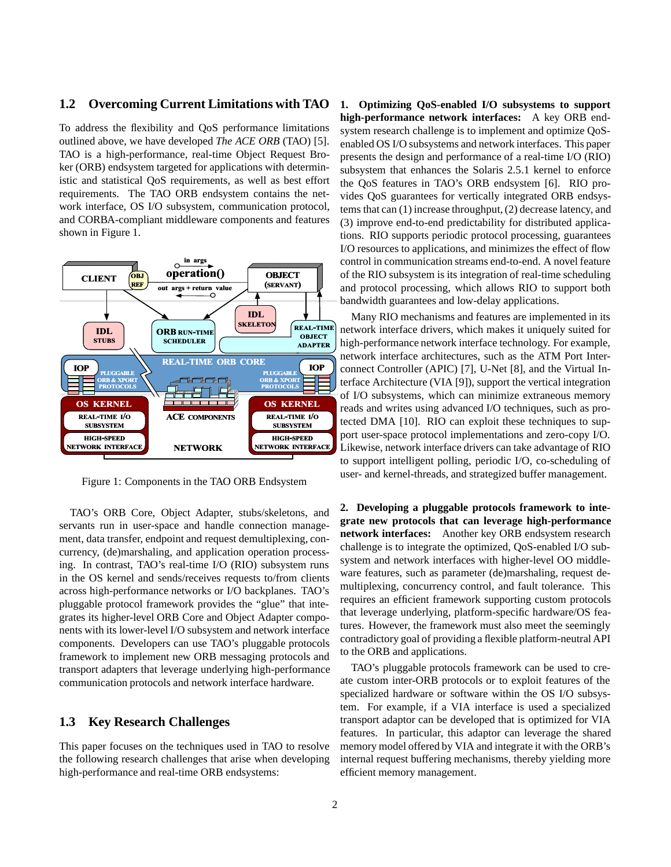#### **1.2 Overcoming Current Limitations with TAO**

To address the flexibility and QoS performance limitations outlined above, we have developed *The ACE ORB* (TAO) [5]. TAO is a high-performance, real-time Object Request Broker (ORB) endsystem targeted for applications with deterministic and statistical QoS requirements, as well as best effort requirements. The TAO ORB endsystem contains the network interface, OS I/O subsystem, communication protocol, and CORBA-compliant middleware components and features shown in Figure 1.



Figure 1: Components in the TAO ORB Endsystem

TAO's ORB Core, Object Adapter, stubs/skeletons, and servants run in user-space and handle connection management, data transfer, endpoint and request demultiplexing, concurrency, (de)marshaling, and application operation processing. In contrast, TAO's real-time I/O (RIO) subsystem runs in the OS kernel and sends/receives requests to/from clients across high-performance networks or I/O backplanes. TAO's pluggable protocol framework provides the "glue" that integrates its higher-level ORB Core and Object Adapter components with its lower-level I/O subsystem and network interface components. Developers can use TAO's pluggable protocols framework to implement new ORB messaging protocols and transport adapters that leverage underlying high-performance communication protocols and network interface hardware.

### **1.3 Key Research Challenges**

This paper focuses on the techniques used in TAO to resolve the following research challenges that arise when developing high-performance and real-time ORB endsystems:

**1. Optimizing QoS-enabled I/O subsystems to support high-performance network interfaces:** A key ORB endsystem research challenge is to implement and optimize QoSenabled OS I/O subsystems and network interfaces. This paper presents the design and performance of a real-time I/O (RIO) subsystem that enhances the Solaris 2.5.1 kernel to enforce the QoS features in TAO's ORB endsystem [6]. RIO provides QoS guarantees for vertically integrated ORB endsystems that can (1) increase throughput, (2) decrease latency, and (3) improve end-to-end predictability for distributed applications. RIO supports periodic protocol processing, guarantees I/O resources to applications, and minimizes the effect of flow control in communication streams end-to-end. A novel feature of the RIO subsystem is its integration of real-time scheduling and protocol processing, which allows RIO to support both bandwidth guarantees and low-delay applications.

Many RIO mechanisms and features are implemented in its network interface drivers, which makes it uniquely suited for high-performance network interface technology. For example, network interface architectures, such as the ATM Port Interconnect Controller (APIC) [7], U-Net [8], and the Virtual Interface Architecture (VIA [9]), support the vertical integration of I/O subsystems, which can minimize extraneous memory reads and writes using advanced I/O techniques, such as protected DMA [10]. RIO can exploit these techniques to support user-space protocol implementations and zero-copy I/O. Likewise, network interface drivers can take advantage of RIO to support intelligent polling, periodic I/O, co-scheduling of user- and kernel-threads, and strategized buffer management.

**2. Developing a pluggable protocols framework to integrate new protocols that can leverage high-performance network interfaces:** Another key ORB endsystem research challenge is to integrate the optimized, QoS-enabled I/O subsystem and network interfaces with higher-level OO middleware features, such as parameter (de)marshaling, request demultiplexing, concurrency control, and fault tolerance. This requires an efficient framework supporting custom protocols that leverage underlying, platform-specific hardware/OS features. However, the framework must also meet the seemingly contradictory goal of providing a flexible platform-neutral API to the ORB and applications.

TAO's pluggable protocols framework can be used to create custom inter-ORB protocols or to exploit features of the specialized hardware or software within the OS I/O subsystem. For example, if a VIA interface is used a specialized transport adaptor can be developed that is optimized for VIA features. In particular, this adaptor can leverage the shared memory model offered by VIA and integrate it with the ORB's internal request buffering mechanisms, thereby yielding more efficient memory management.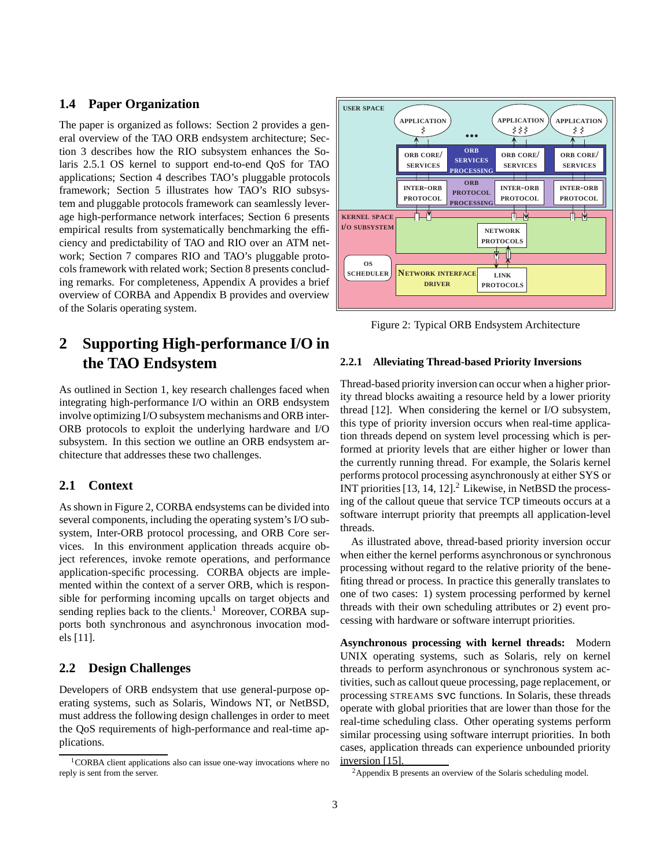## **1.4 Paper Organization**

The paper is organized as follows: Section 2 provides a general overview of the TAO ORB endsystem architecture; Section 3 describes how the RIO subsystem enhances the Solaris 2.5.1 OS kernel to support end-to-end QoS for TAO applications; Section 4 describes TAO's pluggable protocols framework; Section 5 illustrates how TAO's RIO subsystem and pluggable protocols framework can seamlessly leverage high-performance network interfaces; Section 6 presents empirical results from systematically benchmarking the efficiency and predictability of TAO and RIO over an ATM network; Section 7 compares RIO and TAO's pluggable protocols framework with related work; Section 8 presents concluding remarks. For completeness, Appendix A provides a brief overview of CORBA and Appendix B provides and overview of the Solaris operating system.

# **2 Supporting High-performance I/O in the TAO Endsystem**

As outlined in Section 1, key research challenges faced when integrating high-performance I/O within an ORB endsystem involve optimizing I/O subsystem mechanisms and ORB inter-ORB protocols to exploit the underlying hardware and I/O subsystem. In this section we outline an ORB endsystem architecture that addresses these two challenges.

### **2.1 Context**

As shown in Figure 2, CORBA endsystems can be divided into several components, including the operating system's I/O subsystem, Inter-ORB protocol processing, and ORB Core services. In this environment application threads acquire object references, invoke remote operations, and performance application-specific processing. CORBA objects are implemented within the context of a server ORB, which is responsible for performing incoming upcalls on target objects and sending replies back to the clients.<sup>1</sup> Moreover, CORBA supports both synchronous and asynchronous invocation models [11].

## **2.2 Design Challenges**

Developers of ORB endsystem that use general-purpose operating systems, such as Solaris, Windows NT, or NetBSD, must address the following design challenges in order to meet the QoS requirements of high-performance and real-time applications.



Figure 2: Typical ORB Endsystem Architecture

#### **2.2.1 Alleviating Thread-based Priority Inversions**

Thread-based priority inversion can occur when a higher priority thread blocks awaiting a resource held by a lower priority thread [12]. When considering the kernel or I/O subsystem, this type of priority inversion occurs when real-time application threads depend on system level processing which is performed at priority levels that are either higher or lower than the currently running thread. For example, the Solaris kernel performs protocol processing asynchronously at either SYS or INT priorities  $[13, 14, 12]$ .<sup>2</sup> Likewise, in NetBSD the processing of the callout queue that service TCP timeouts occurs at a software interrupt priority that preempts all application-level threads.

As illustrated above, thread-based priority inversion occur when either the kernel performs asynchronous or synchronous processing without regard to the relative priority of the benefiting thread or process. In practice this generally translates to one of two cases: 1) system processing performed by kernel threads with their own scheduling attributes or 2) event processing with hardware or software interrupt priorities.

**Asynchronous processing with kernel threads:** Modern UNIX operating systems, such as Solaris, rely on kernel threads to perform asynchronous or synchronous system activities, such as callout queue processing, page replacement, or processing STREAMS svc functions. In Solaris, these threads operate with global priorities that are lower than those for the real-time scheduling class. Other operating systems perform similar processing using software interrupt priorities. In both cases, application threads can experience unbounded priority inversion [15].

 $1$ CORBA client applications also can issue one-way invocations where no reply is sent from the server.

<sup>2</sup>Appendix B presents an overview of the Solaris scheduling model.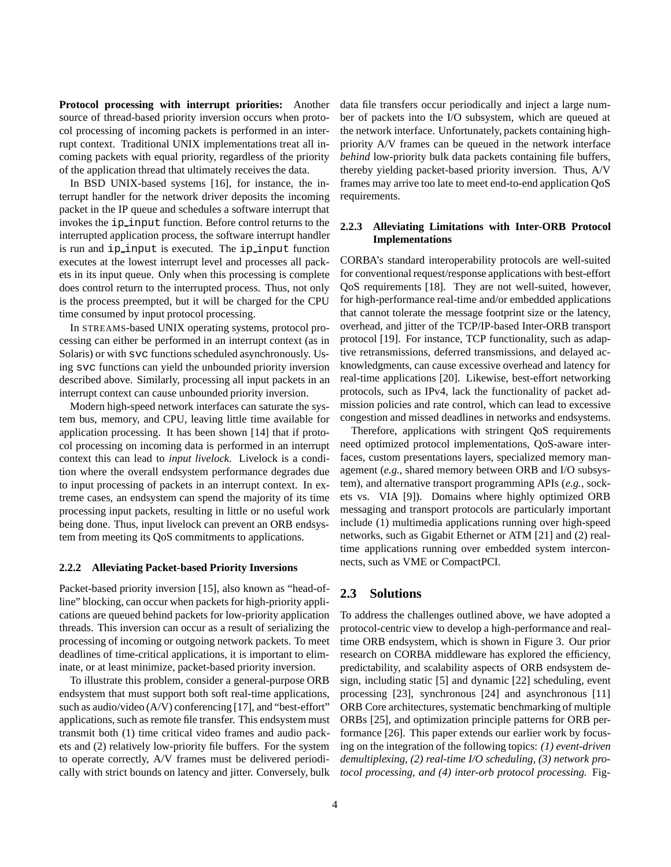**Protocol processing with interrupt priorities:** Another source of thread-based priority inversion occurs when protocol processing of incoming packets is performed in an interrupt context. Traditional UNIX implementations treat all incoming packets with equal priority, regardless of the priority of the application thread that ultimately receives the data.

In BSD UNIX-based systems [16], for instance, the interrupt handler for the network driver deposits the incoming packet in the IP queue and schedules a software interrupt that invokes the ip input function. Before control returns to the interrupted application process, the software interrupt handler is run and ip input is executed. The ip input function executes at the lowest interrupt level and processes all packets in its input queue. Only when this processing is complete does control return to the interrupted process. Thus, not only is the process preempted, but it will be charged for the CPU time consumed by input protocol processing.

In STREAMS-based UNIX operating systems, protocol processing can either be performed in an interrupt context (as in Solaris) or with svc functions scheduled asynchronously. Using svc functions can yield the unbounded priority inversion described above. Similarly, processing all input packets in an interrupt context can cause unbounded priority inversion.

Modern high-speed network interfaces can saturate the system bus, memory, and CPU, leaving little time available for application processing. It has been shown [14] that if protocol processing on incoming data is performed in an interrupt context this can lead to *input livelock*. Livelock is a condition where the overall endsystem performance degrades due to input processing of packets in an interrupt context. In extreme cases, an endsystem can spend the majority of its time processing input packets, resulting in little or no useful work being done. Thus, input livelock can prevent an ORB endsystem from meeting its QoS commitments to applications.

#### **2.2.2 Alleviating Packet-based Priority Inversions**

Packet-based priority inversion [15], also known as "head-ofline" blocking, can occur when packets for high-priority applications are queued behind packets for low-priority application threads. This inversion can occur as a result of serializing the processing of incoming or outgoing network packets. To meet deadlines of time-critical applications, it is important to eliminate, or at least minimize, packet-based priority inversion.

To illustrate this problem, consider a general-purpose ORB endsystem that must support both soft real-time applications, such as audio/video (A/V) conferencing [17], and "best-effort" applications, such as remote file transfer. This endsystem must transmit both (1) time critical video frames and audio packets and (2) relatively low-priority file buffers. For the system to operate correctly, A/V frames must be delivered periodically with strict bounds on latency and jitter. Conversely, bulk data file transfers occur periodically and inject a large number of packets into the I/O subsystem, which are queued at the network interface. Unfortunately, packets containing highpriority A/V frames can be queued in the network interface *behind* low-priority bulk data packets containing file buffers, thereby yielding packet-based priority inversion. Thus, A/V frames may arrive too late to meet end-to-end application QoS requirements.

#### **2.2.3 Alleviating Limitations with Inter-ORB Protocol Implementations**

CORBA's standard interoperability protocols are well-suited for conventional request/response applications with best-effort QoS requirements [18]. They are not well-suited, however, for high-performance real-time and/or embedded applications that cannot tolerate the message footprint size or the latency, overhead, and jitter of the TCP/IP-based Inter-ORB transport protocol [19]. For instance, TCP functionality, such as adaptive retransmissions, deferred transmissions, and delayed acknowledgments, can cause excessive overhead and latency for real-time applications [20]. Likewise, best-effort networking protocols, such as IPv4, lack the functionality of packet admission policies and rate control, which can lead to excessive congestion and missed deadlines in networks and endsystems.

Therefore, applications with stringent QoS requirements need optimized protocol implementations, QoS-aware interfaces, custom presentations layers, specialized memory management (*e.g.*, shared memory between ORB and I/O subsystem), and alternative transport programming APIs (*e.g.*, sockets vs. VIA [9]). Domains where highly optimized ORB messaging and transport protocols are particularly important include (1) multimedia applications running over high-speed networks, such as Gigabit Ethernet or ATM [21] and (2) realtime applications running over embedded system interconnects, such as VME or CompactPCI.

### **2.3 Solutions**

To address the challenges outlined above, we have adopted a protocol-centric view to develop a high-performance and realtime ORB endsystem, which is shown in Figure 3. Our prior research on CORBA middleware has explored the efficiency, predictability, and scalability aspects of ORB endsystem design, including static [5] and dynamic [22] scheduling, event processing [23], synchronous [24] and asynchronous [11] ORB Core architectures, systematic benchmarking of multiple ORBs [25], and optimization principle patterns for ORB performance [26]. This paper extends our earlier work by focusing on the integration of the following topics: *(1) event-driven demultiplexing, (2) real-time I/O scheduling, (3) network protocol processing, and (4) inter-orb protocol processing.* Fig-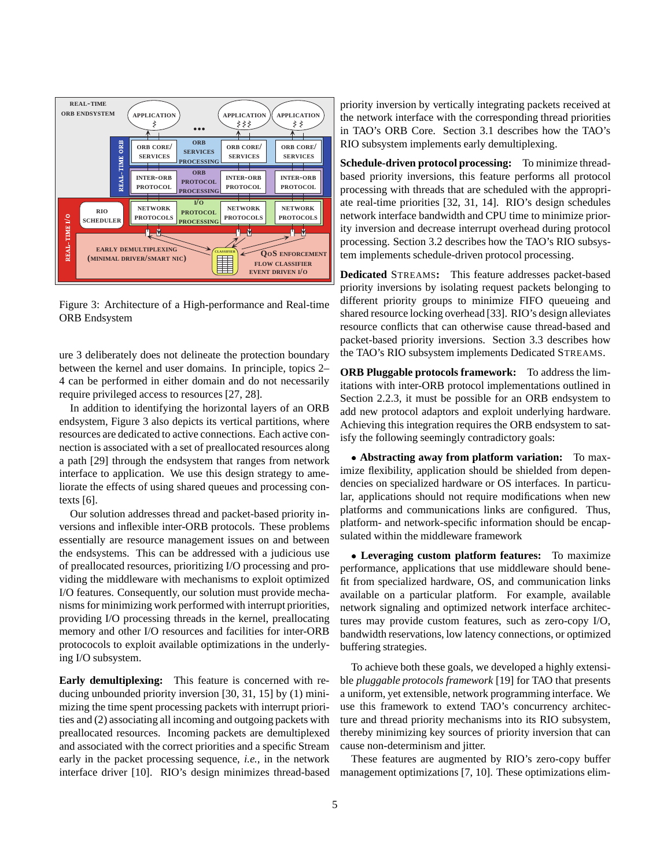

Figure 3: Architecture of a High-performance and Real-time ORB Endsystem

ure 3 deliberately does not delineate the protection boundary between the kernel and user domains. In principle, topics 2– 4 can be performed in either domain and do not necessarily require privileged access to resources [27, 28].

In addition to identifying the horizontal layers of an ORB endsystem, Figure 3 also depicts its vertical partitions, where resources are dedicated to active connections. Each active connection is associated with a set of preallocated resources along a path [29] through the endsystem that ranges from network interface to application. We use this design strategy to ameliorate the effects of using shared queues and processing contexts [6].

Our solution addresses thread and packet-based priority inversions and inflexible inter-ORB protocols. These problems essentially are resource management issues on and between the endsystems. This can be addressed with a judicious use of preallocated resources, prioritizing I/O processing and providing the middleware with mechanisms to exploit optimized I/O features. Consequently, our solution must provide mechanisms for minimizing work performed with interrupt priorities, providing I/O processing threads in the kernel, preallocating memory and other I/O resources and facilities for inter-ORB protococols to exploit available optimizations in the underlying I/O subsystem.

**Early demultiplexing:** This feature is concerned with reducing unbounded priority inversion [30, 31, 15] by (1) minimizing the time spent processing packets with interrupt priorities and (2) associating all incoming and outgoing packets with preallocated resources. Incoming packets are demultiplexed and associated with the correct priorities and a specific Stream early in the packet processing sequence, *i.e.*, in the network interface driver [10]. RIO's design minimizes thread-based priority inversion by vertically integrating packets received at the network interface with the corresponding thread priorities in TAO's ORB Core. Section 3.1 describes how the TAO's RIO subsystem implements early demultiplexing.

**Schedule-driven protocol processing:** To minimize threadbased priority inversions, this feature performs all protocol processing with threads that are scheduled with the appropriate real-time priorities [32, 31, 14]. RIO's design schedules network interface bandwidth and CPU time to minimize priority inversion and decrease interrupt overhead during protocol processing. Section 3.2 describes how the TAO's RIO subsystem implements schedule-driven protocol processing.

**Dedicated** STREAMS**:** This feature addresses packet-based priority inversions by isolating request packets belonging to different priority groups to minimize FIFO queueing and shared resource locking overhead [33]. RIO's design alleviates resource conflicts that can otherwise cause thread-based and packet-based priority inversions. Section 3.3 describes how the TAO's RIO subsystem implements Dedicated STREAMS.

**ORB Pluggable protocols framework:** To address the limitations with inter-ORB protocol implementations outlined in Section 2.2.3, it must be possible for an ORB endsystem to add new protocol adaptors and exploit underlying hardware. Achieving this integration requires the ORB endsystem to satisfy the following seemingly contradictory goals:

 **Abstracting away from platform variation:** To maximize flexibility, application should be shielded from dependencies on specialized hardware or OS interfaces. In particular, applications should not require modifications when new platforms and communications links are configured. Thus, platform- and network-specific information should be encapsulated within the middleware framework

 **Leveraging custom platform features:** To maximize performance, applications that use middleware should benefit from specialized hardware, OS, and communication links available on a particular platform. For example, available network signaling and optimized network interface architectures may provide custom features, such as zero-copy I/O, bandwidth reservations, low latency connections, or optimized buffering strategies.

To achieve both these goals, we developed a highly extensible *pluggable protocols framework* [19] for TAO that presents a uniform, yet extensible, network programming interface. We use this framework to extend TAO's concurrency architecture and thread priority mechanisms into its RIO subsystem, thereby minimizing key sources of priority inversion that can cause non-determinism and jitter.

These features are augmented by RIO's zero-copy buffer management optimizations [7, 10]. These optimizations elim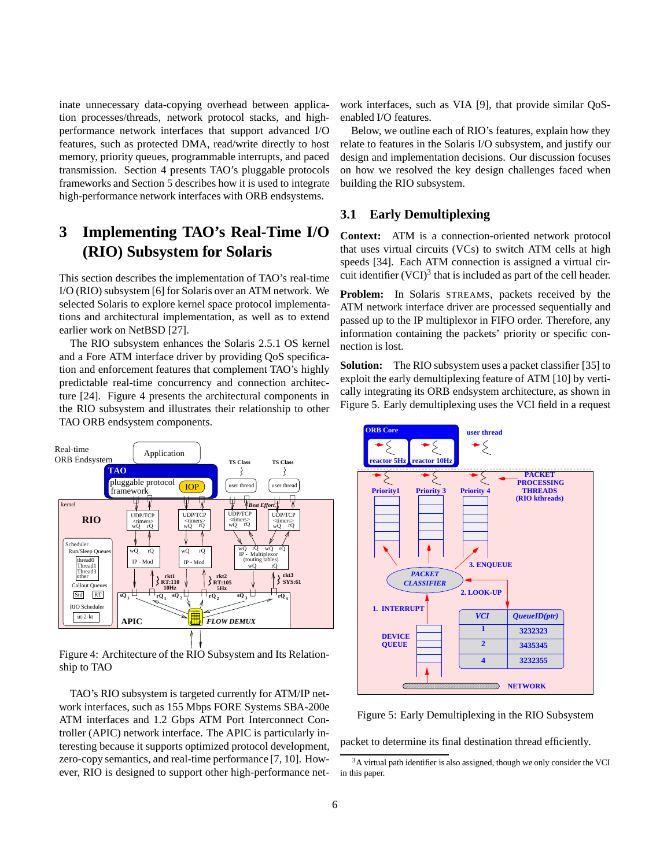inate unnecessary data-copying overhead between application processes/threads, network protocol stacks, and highperformance network interfaces that support advanced I/O features, such as protected DMA, read/write directly to host memory, priority queues, programmable interrupts, and paced transmission. Section 4 presents TAO's pluggable protocols frameworks and Section 5 describes how it is used to integrate high-performance network interfaces with ORB endsystems.

# **3 Implementing TAO's Real-Time I/O (RIO) Subsystem for Solaris**

This section describes the implementation of TAO's real-time I/O (RIO) subsystem [6] for Solaris over an ATM network. We selected Solaris to explore kernel space protocol implementations and architectural implementation, as well as to extend earlier work on NetBSD [27].

The RIO subsystem enhances the Solaris 2.5.1 OS kernel and a Fore ATM interface driver by providing QoS specification and enforcement features that complement TAO's highly predictable real-time concurrency and connection architecture [24]. Figure 4 presents the architectural components in the RIO subsystem and illustrates their relationship to other TAO ORB endsystem components.



Figure 4: Architecture of the RIO Subsystem and Its Relationship to TAO

TAO's RIO subsystem is targeted currently for ATM/IP network interfaces, such as 155 Mbps FORE Systems SBA-200e ATM interfaces and 1.2 Gbps ATM Port Interconnect Controller (APIC) network interface. The APIC is particularly interesting because it supports optimized protocol development, zero-copy semantics, and real-time performance [7, 10]. However, RIO is designed to support other high-performance network interfaces, such as VIA [9], that provide similar QoSenabled I/O features.

Below, we outline each of RIO's features, explain how they relate to features in the Solaris I/O subsystem, and justify our design and implementation decisions. Our discussion focuses on how we resolved the key design challenges faced when building the RIO subsystem.

### **3.1 Early Demultiplexing**

**Context:** ATM is a connection-oriented network protocol that uses virtual circuits (VCs) to switch ATM cells at high speeds [34]. Each ATM connection is assigned a virtual circuit identifier  $(VCI)^3$  that is included as part of the cell header.

**Problem:** In Solaris STREAMS, packets received by the ATM network interface driver are processed sequentially and passed up to the IP multiplexor in FIFO order. Therefore, any information containing the packets' priority or specific connection is lost.

**Solution:** The RIO subsystem uses a packet classifier [35] to exploit the early demultiplexing feature of ATM [10] by vertically integrating its ORB endsystem architecture, as shown in Figure 5. Early demultiplexing uses the VCI field in a request



Figure 5: Early Demultiplexing in the RIO Subsystem

packet to determine its final destination thread efficiently.

<sup>3</sup>A virtual path identifier is also assigned, though we only consider the VCI in this paper.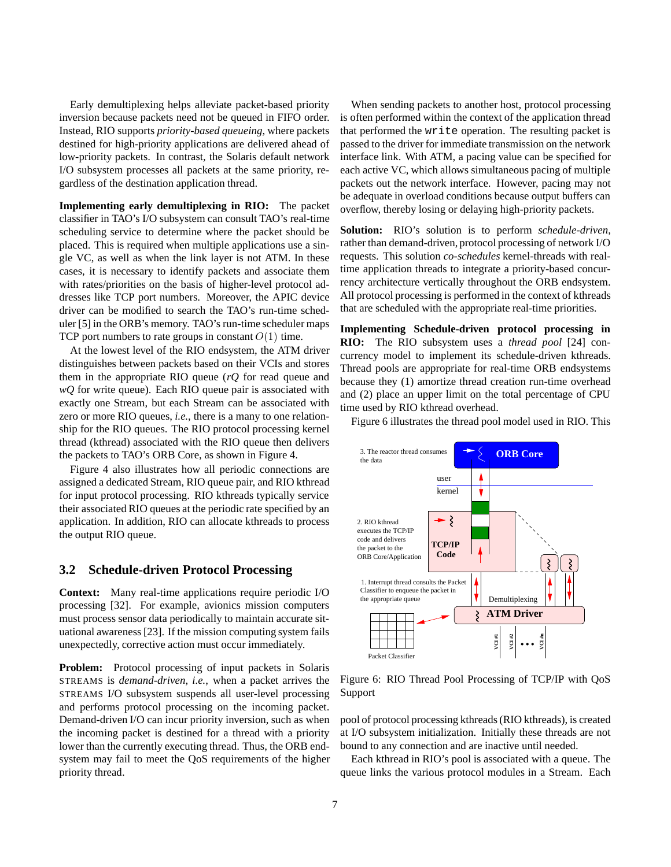Early demultiplexing helps alleviate packet-based priority inversion because packets need not be queued in FIFO order. Instead, RIO supports *priority-based queueing*, where packets destined for high-priority applications are delivered ahead of low-priority packets. In contrast, the Solaris default network I/O subsystem processes all packets at the same priority, regardless of the destination application thread.

**Implementing early demultiplexing in RIO:** The packet classifier in TAO's I/O subsystem can consult TAO's real-time scheduling service to determine where the packet should be placed. This is required when multiple applications use a single VC, as well as when the link layer is not ATM. In these cases, it is necessary to identify packets and associate them with rates/priorities on the basis of higher-level protocol addresses like TCP port numbers. Moreover, the APIC device driver can be modified to search the TAO's run-time scheduler [5] in the ORB's memory. TAO's run-time scheduler maps TCP port numbers to rate groups in constant  $O(1)$  time.

At the lowest level of the RIO endsystem, the ATM driver distinguishes between packets based on their VCIs and stores them in the appropriate RIO queue (*rQ* for read queue and *wQ* for write queue). Each RIO queue pair is associated with exactly one Stream, but each Stream can be associated with zero or more RIO queues, *i.e.*, there is a many to one relationship for the RIO queues. The RIO protocol processing kernel thread (kthread) associated with the RIO queue then delivers the packets to TAO's ORB Core, as shown in Figure 4.

Figure 4 also illustrates how all periodic connections are assigned a dedicated Stream, RIO queue pair, and RIO kthread for input protocol processing. RIO kthreads typically service their associated RIO queues at the periodic rate specified by an application. In addition, RIO can allocate kthreads to process the output RIO queue.

#### **3.2 Schedule-driven Protocol Processing**

**Context:** Many real-time applications require periodic I/O processing [32]. For example, avionics mission computers must process sensor data periodically to maintain accurate situational awareness [23]. If the mission computing system fails unexpectedly, corrective action must occur immediately.

**Problem:** Protocol processing of input packets in Solaris STREAMS is *demand-driven*, *i.e.*, when a packet arrives the STREAMS I/O subsystem suspends all user-level processing and performs protocol processing on the incoming packet. Demand-driven I/O can incur priority inversion, such as when the incoming packet is destined for a thread with a priority lower than the currently executing thread. Thus, the ORB endsystem may fail to meet the QoS requirements of the higher priority thread.

When sending packets to another host, protocol processing is often performed within the context of the application thread that performed the write operation. The resulting packet is passed to the driver for immediate transmission on the network interface link. With ATM, a pacing value can be specified for each active VC, which allows simultaneous pacing of multiple packets out the network interface. However, pacing may not be adequate in overload conditions because output buffers can overflow, thereby losing or delaying high-priority packets.

**Solution:** RIO's solution is to perform *schedule-driven*, rather than demand-driven, protocol processing of network I/O requests. This solution *co-schedules* kernel-threads with realtime application threads to integrate a priority-based concurrency architecture vertically throughout the ORB endsystem. All protocol processing is performed in the context of kthreads that are scheduled with the appropriate real-time priorities.

**Implementing Schedule-driven protocol processing in RIO:** The RIO subsystem uses a *thread pool* [24] concurrency model to implement its schedule-driven kthreads. Thread pools are appropriate for real-time ORB endsystems because they (1) amortize thread creation run-time overhead and (2) place an upper limit on the total percentage of CPU time used by RIO kthread overhead.

Figure 6 illustrates the thread pool model used in RIO. This



Figure 6: RIO Thread Pool Processing of TCP/IP with QoS Support

pool of protocol processing kthreads (RIO kthreads), is created at I/O subsystem initialization. Initially these threads are not bound to any connection and are inactive until needed.

Each kthread in RIO's pool is associated with a queue. The queue links the various protocol modules in a Stream. Each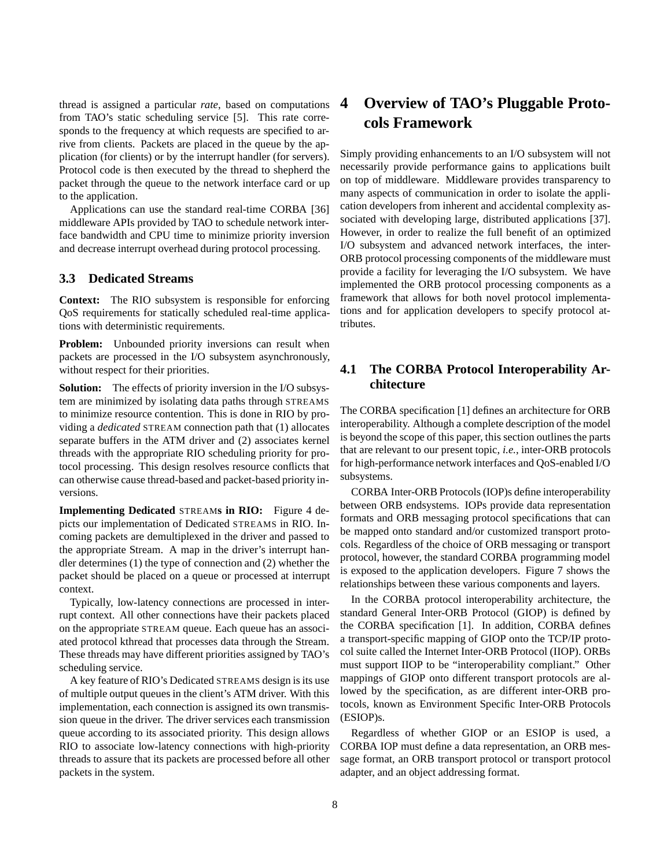thread is assigned a particular *rate*, based on computations from TAO's static scheduling service [5]. This rate corresponds to the frequency at which requests are specified to arrive from clients. Packets are placed in the queue by the application (for clients) or by the interrupt handler (for servers). Protocol code is then executed by the thread to shepherd the packet through the queue to the network interface card or up to the application.

Applications can use the standard real-time CORBA [36] middleware APIs provided by TAO to schedule network interface bandwidth and CPU time to minimize priority inversion and decrease interrupt overhead during protocol processing.

#### **3.3 Dedicated Streams**

**Context:** The RIO subsystem is responsible for enforcing QoS requirements for statically scheduled real-time applications with deterministic requirements.

**Problem:** Unbounded priority inversions can result when packets are processed in the I/O subsystem asynchronously, without respect for their priorities.

**Solution:** The effects of priority inversion in the I/O subsystem are minimized by isolating data paths through STREAMS to minimize resource contention. This is done in RIO by providing a *dedicated* STREAM connection path that (1) allocates separate buffers in the ATM driver and (2) associates kernel threads with the appropriate RIO scheduling priority for protocol processing. This design resolves resource conflicts that can otherwise cause thread-based and packet-based priority inversions.

**Implementing Dedicated** STREAM**s in RIO:** Figure 4 depicts our implementation of Dedicated STREAMS in RIO. Incoming packets are demultiplexed in the driver and passed to the appropriate Stream. A map in the driver's interrupt handler determines (1) the type of connection and (2) whether the packet should be placed on a queue or processed at interrupt context.

Typically, low-latency connections are processed in interrupt context. All other connections have their packets placed on the appropriate STREAM queue. Each queue has an associated protocol kthread that processes data through the Stream. These threads may have different priorities assigned by TAO's scheduling service.

A key feature of RIO's Dedicated STREAMS design is its use of multiple output queues in the client's ATM driver. With this implementation, each connection is assigned its own transmission queue in the driver. The driver services each transmission queue according to its associated priority. This design allows RIO to associate low-latency connections with high-priority threads to assure that its packets are processed before all other packets in the system.

# **4 Overview of TAO's Pluggable Protocols Framework**

Simply providing enhancements to an I/O subsystem will not necessarily provide performance gains to applications built on top of middleware. Middleware provides transparency to many aspects of communication in order to isolate the application developers from inherent and accidental complexity associated with developing large, distributed applications [37]. However, in order to realize the full benefit of an optimized I/O subsystem and advanced network interfaces, the inter-ORB protocol processing components of the middleware must provide a facility for leveraging the I/O subsystem. We have implemented the ORB protocol processing components as a framework that allows for both novel protocol implementations and for application developers to specify protocol attributes.

## **4.1 The CORBA Protocol Interoperability Architecture**

The CORBA specification [1] defines an architecture for ORB interoperability. Although a complete description of the model is beyond the scope of this paper, this section outlines the parts that are relevant to our present topic, *i.e.*, inter-ORB protocols for high-performance network interfaces and QoS-enabled I/O subsystems.

CORBA Inter-ORB Protocols (IOP)s define interoperability between ORB endsystems. IOPs provide data representation formats and ORB messaging protocol specifications that can be mapped onto standard and/or customized transport protocols. Regardless of the choice of ORB messaging or transport protocol, however, the standard CORBA programming model is exposed to the application developers. Figure 7 shows the relationships between these various components and layers.

In the CORBA protocol interoperability architecture, the standard General Inter-ORB Protocol (GIOP) is defined by the CORBA specification [1]. In addition, CORBA defines a transport-specific mapping of GIOP onto the TCP/IP protocol suite called the Internet Inter-ORB Protocol (IIOP). ORBs must support IIOP to be "interoperability compliant." Other mappings of GIOP onto different transport protocols are allowed by the specification, as are different inter-ORB protocols, known as Environment Specific Inter-ORB Protocols (ESIOP)s.

Regardless of whether GIOP or an ESIOP is used, a CORBA IOP must define a data representation, an ORB message format, an ORB transport protocol or transport protocol adapter, and an object addressing format.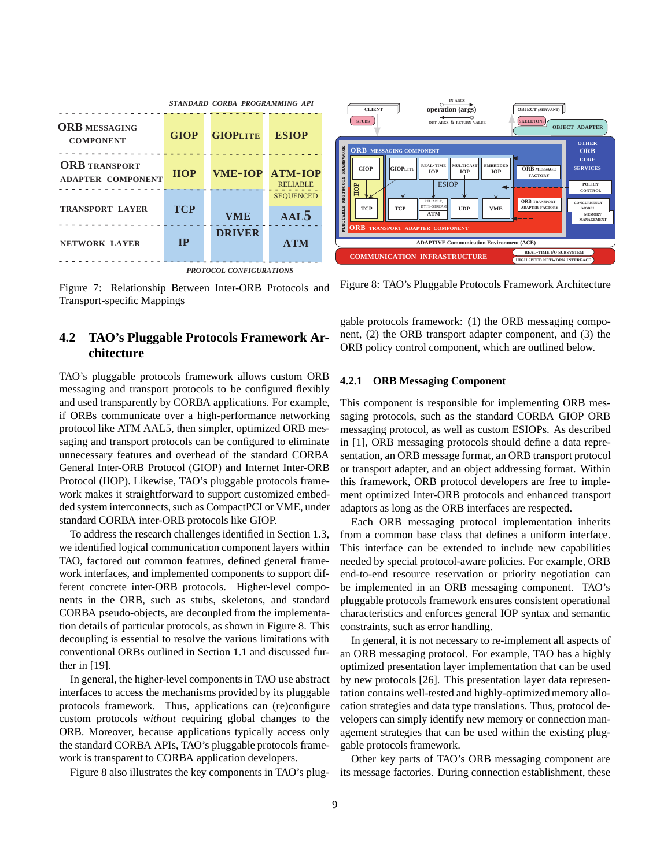

Figure 7: Relationship Between Inter-ORB Protocols and Transport-specific Mappings

## **4.2 TAO's Pluggable Protocols Framework Architecture**

TAO's pluggable protocols framework allows custom ORB messaging and transport protocols to be configured flexibly and used transparently by CORBA applications. For example, if ORBs communicate over a high-performance networking protocol like ATM AAL5, then simpler, optimized ORB messaging and transport protocols can be configured to eliminate unnecessary features and overhead of the standard CORBA General Inter-ORB Protocol (GIOP) and Internet Inter-ORB Protocol (IIOP). Likewise, TAO's pluggable protocols framework makes it straightforward to support customized embedded system interconnects, such as CompactPCI or VME, under standard CORBA inter-ORB protocols like GIOP.

To address the research challenges identified in Section 1.3, we identified logical communication component layers within TAO, factored out common features, defined general framework interfaces, and implemented components to support different concrete inter-ORB protocols. Higher-level components in the ORB, such as stubs, skeletons, and standard CORBA pseudo-objects, are decoupled from the implementation details of particular protocols, as shown in Figure 8. This decoupling is essential to resolve the various limitations with conventional ORBs outlined in Section 1.1 and discussed further in  $[19]$ .

In general, the higher-level components in TAO use abstract interfaces to access the mechanisms provided by its pluggable protocols framework. Thus, applications can (re)configure custom protocols *without* requiring global changes to the ORB. Moreover, because applications typically access only the standard CORBA APIs, TAO's pluggable protocols framework is transparent to CORBA application developers.

Figure 8 also illustrates the key components in TAO's plug-



Figure 8: TAO's Pluggable Protocols Framework Architecture

gable protocols framework: (1) the ORB messaging component, (2) the ORB transport adapter component, and (3) the ORB policy control component, which are outlined below.

#### **4.2.1 ORB Messaging Component**

This component is responsible for implementing ORB messaging protocols, such as the standard CORBA GIOP ORB messaging protocol, as well as custom ESIOPs. As described in [1], ORB messaging protocols should define a data representation, an ORB message format, an ORB transport protocol or transport adapter, and an object addressing format. Within this framework, ORB protocol developers are free to implement optimized Inter-ORB protocols and enhanced transport adaptors as long as the ORB interfaces are respected.

Each ORB messaging protocol implementation inherits from a common base class that defines a uniform interface. This interface can be extended to include new capabilities needed by special protocol-aware policies. For example, ORB end-to-end resource reservation or priority negotiation can be implemented in an ORB messaging component. TAO's pluggable protocols framework ensures consistent operational characteristics and enforces general IOP syntax and semantic constraints, such as error handling.

In general, it is not necessary to re-implement all aspects of an ORB messaging protocol. For example, TAO has a highly optimized presentation layer implementation that can be used by new protocols [26]. This presentation layer data representation contains well-tested and highly-optimized memory allocation strategies and data type translations. Thus, protocol developers can simply identify new memory or connection management strategies that can be used within the existing pluggable protocols framework.

Other key parts of TAO's ORB messaging component are its message factories. During connection establishment, these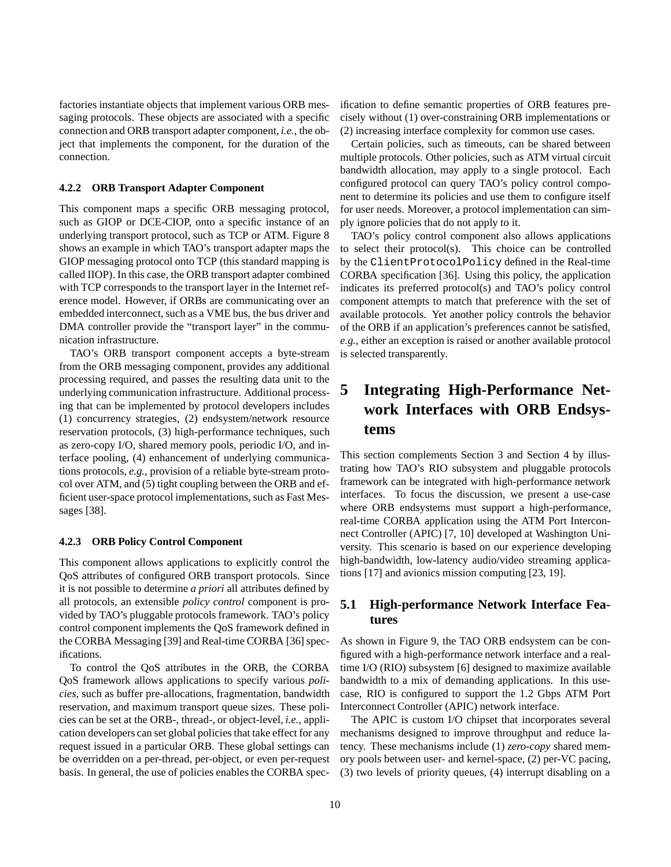factories instantiate objects that implement various ORB messaging protocols. These objects are associated with a specific connection and ORB transport adapter component, *i.e.*, the object that implements the component, for the duration of the connection.

#### **4.2.2 ORB Transport Adapter Component**

This component maps a specific ORB messaging protocol, such as GIOP or DCE-CIOP, onto a specific instance of an underlying transport protocol, such as TCP or ATM. Figure 8 shows an example in which TAO's transport adapter maps the GIOP messaging protocol onto TCP (this standard mapping is called IIOP). In this case, the ORB transport adapter combined with TCP corresponds to the transport layer in the Internet reference model. However, if ORBs are communicating over an embedded interconnect, such as a VME bus, the bus driver and DMA controller provide the "transport layer" in the communication infrastructure.

TAO's ORB transport component accepts a byte-stream from the ORB messaging component, provides any additional processing required, and passes the resulting data unit to the underlying communication infrastructure. Additional processing that can be implemented by protocol developers includes (1) concurrency strategies, (2) endsystem/network resource reservation protocols, (3) high-performance techniques, such as zero-copy I/O, shared memory pools, periodic I/O, and interface pooling, (4) enhancement of underlying communications protocols, *e.g.*, provision of a reliable byte-stream protocol over ATM, and (5) tight coupling between the ORB and efficient user-space protocol implementations, such as Fast Messages [38].

#### **4.2.3 ORB Policy Control Component**

This component allows applications to explicitly control the QoS attributes of configured ORB transport protocols. Since it is not possible to determine *a priori* all attributes defined by all protocols, an extensible *policy control* component is provided by TAO's pluggable protocols framework. TAO's policy control component implements the QoS framework defined in the CORBA Messaging [39] and Real-time CORBA [36] specifications.

To control the QoS attributes in the ORB, the CORBA QoS framework allows applications to specify various *policies*, such as buffer pre-allocations, fragmentation, bandwidth reservation, and maximum transport queue sizes. These policies can be set at the ORB-, thread-, or object-level, *i.e.*, application developers can set global policies that take effect for any request issued in a particular ORB. These global settings can be overridden on a per-thread, per-object, or even per-request basis. In general, the use of policies enables the CORBA specification to define semantic properties of ORB features precisely without (1) over-constraining ORB implementations or (2) increasing interface complexity for common use cases.

Certain policies, such as timeouts, can be shared between multiple protocols. Other policies, such as ATM virtual circuit bandwidth allocation, may apply to a single protocol. Each configured protocol can query TAO's policy control component to determine its policies and use them to configure itself for user needs. Moreover, a protocol implementation can simply ignore policies that do not apply to it.

TAO's policy control component also allows applications to select their protocol(s). This choice can be controlled by the ClientProtocolPolicy defined in the Real-time CORBA specification [36]. Using this policy, the application indicates its preferred protocol(s) and TAO's policy control component attempts to match that preference with the set of available protocols. Yet another policy controls the behavior of the ORB if an application's preferences cannot be satisfied, *e.g.*, either an exception is raised or another available protocol is selected transparently.

# **5 Integrating High-Performance Network Interfaces with ORB Endsystems**

This section complements Section 3 and Section 4 by illustrating how TAO's RIO subsystem and pluggable protocols framework can be integrated with high-performance network interfaces. To focus the discussion, we present a use-case where ORB endsystems must support a high-performance, real-time CORBA application using the ATM Port Interconnect Controller (APIC) [7, 10] developed at Washington University. This scenario is based on our experience developing high-bandwidth, low-latency audio/video streaming applications [17] and avionics mission computing [23, 19].

## **5.1 High-performance Network Interface Features**

As shown in Figure 9, the TAO ORB endsystem can be configured with a high-performance network interface and a realtime I/O (RIO) subsystem [6] designed to maximize available bandwidth to a mix of demanding applications. In this usecase, RIO is configured to support the 1.2 Gbps ATM Port Interconnect Controller (APIC) network interface.

The APIC is custom I/O chipset that incorporates several mechanisms designed to improve throughput and reduce latency. These mechanisms include (1) *zero-copy* shared memory pools between user- and kernel-space, (2) per-VC pacing, (3) two levels of priority queues, (4) interrupt disabling on a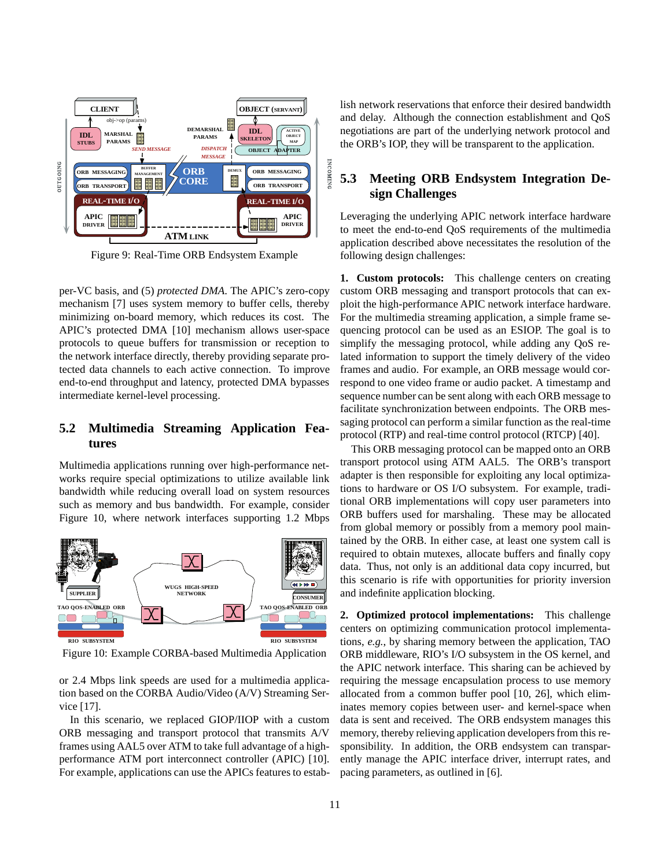

Figure 9: Real-Time ORB Endsystem Example

per-VC basis, and (5) *protected DMA*. The APIC's zero-copy mechanism [7] uses system memory to buffer cells, thereby minimizing on-board memory, which reduces its cost. The APIC's protected DMA [10] mechanism allows user-space protocols to queue buffers for transmission or reception to the network interface directly, thereby providing separate protected data channels to each active connection. To improve end-to-end throughput and latency, protected DMA bypasses intermediate kernel-level processing.

## **5.2 Multimedia Streaming Application Features**

Multimedia applications running over high-performance networks require special optimizations to utilize available link bandwidth while reducing overall load on system resources such as memory and bus bandwidth. For example, consider Figure 10, where network interfaces supporting 1.2 Mbps



Figure 10: Example CORBA-based Multimedia Application

or 2.4 Mbps link speeds are used for a multimedia application based on the CORBA Audio/Video (A/V) Streaming Service [17].

In this scenario, we replaced GIOP/IIOP with a custom ORB messaging and transport protocol that transmits A/V frames using AAL5 over ATM to take full advantage of a highperformance ATM port interconnect controller (APIC) [10]. For example, applications can use the APICs features to establish network reservations that enforce their desired bandwidth and delay. Although the connection establishment and QoS negotiations are part of the underlying network protocol and the ORB's IOP, they will be transparent to the application.

## **5.3 Meeting ORB Endsystem Integration Design Challenges**

Leveraging the underlying APIC network interface hardware to meet the end-to-end QoS requirements of the multimedia application described above necessitates the resolution of the following design challenges:

**1. Custom protocols:** This challenge centers on creating custom ORB messaging and transport protocols that can exploit the high-performance APIC network interface hardware. For the multimedia streaming application, a simple frame sequencing protocol can be used as an ESIOP. The goal is to simplify the messaging protocol, while adding any QoS related information to support the timely delivery of the video frames and audio. For example, an ORB message would correspond to one video frame or audio packet. A timestamp and sequence number can be sent along with each ORB message to facilitate synchronization between endpoints. The ORB messaging protocol can perform a similar function as the real-time protocol (RTP) and real-time control protocol (RTCP) [40].

This ORB messaging protocol can be mapped onto an ORB transport protocol using ATM AAL5. The ORB's transport adapter is then responsible for exploiting any local optimizations to hardware or OS I/O subsystem. For example, traditional ORB implementations will copy user parameters into ORB buffers used for marshaling. These may be allocated from global memory or possibly from a memory pool maintained by the ORB. In either case, at least one system call is required to obtain mutexes, allocate buffers and finally copy data. Thus, not only is an additional data copy incurred, but this scenario is rife with opportunities for priority inversion and indefinite application blocking.

**2. Optimized protocol implementations:** This challenge centers on optimizing communication protocol implementations, *e.g.*, by sharing memory between the application, TAO ORB middleware, RIO's I/O subsystem in the OS kernel, and the APIC network interface. This sharing can be achieved by requiring the message encapsulation process to use memory allocated from a common buffer pool [10, 26], which eliminates memory copies between user- and kernel-space when data is sent and received. The ORB endsystem manages this memory, thereby relieving application developers from this responsibility. In addition, the ORB endsystem can transparently manage the APIC interface driver, interrupt rates, and pacing parameters, as outlined in [6].

INCOMING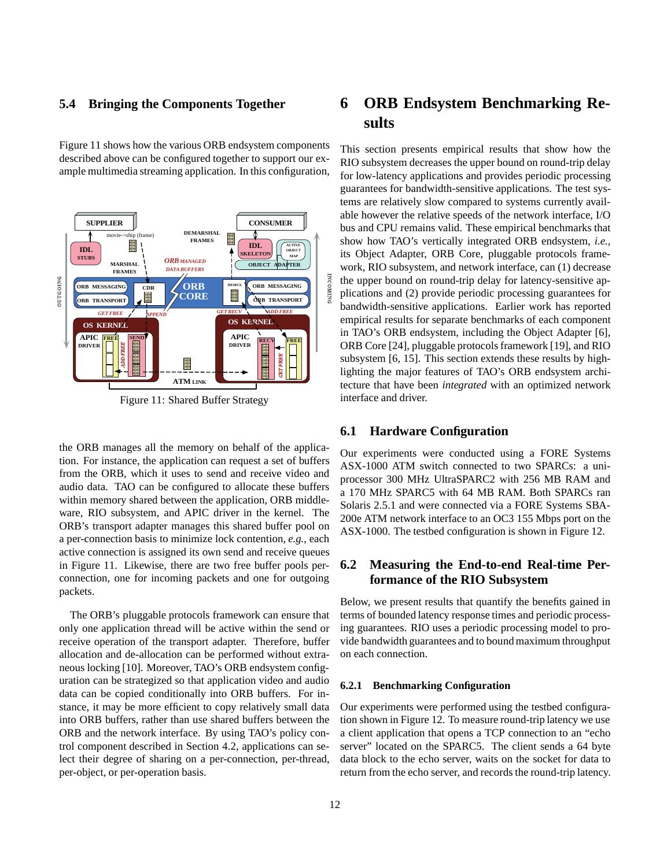## **5.4 Bringing the Components Together**

Figure 11 shows how the various ORB endsystem components described above can be configured together to support our example multimedia streaming application. In this configuration,



Figure 11: Shared Buffer Strategy

the ORB manages all the memory on behalf of the application. For instance, the application can request a set of buffers from the ORB, which it uses to send and receive video and audio data. TAO can be configured to allocate these buffers within memory shared between the application, ORB middleware, RIO subsystem, and APIC driver in the kernel. The ORB's transport adapter manages this shared buffer pool on a per-connection basis to minimize lock contention, *e.g.*, each active connection is assigned its own send and receive queues in Figure 11. Likewise, there are two free buffer pools perconnection, one for incoming packets and one for outgoing packets.

The ORB's pluggable protocols framework can ensure that only one application thread will be active within the send or receive operation of the transport adapter. Therefore, buffer allocation and de-allocation can be performed without extraneous locking [10]. Moreover, TAO's ORB endsystem configuration can be strategized so that application video and audio data can be copied conditionally into ORB buffers. For instance, it may be more efficient to copy relatively small data into ORB buffers, rather than use shared buffers between the ORB and the network interface. By using TAO's policy control component described in Section 4.2, applications can select their degree of sharing on a per-connection, per-thread, per-object, or per-operation basis.

# **6 ORB Endsystem Benchmarking Results**

This section presents empirical results that show how the RIO subsystem decreases the upper bound on round-trip delay for low-latency applications and provides periodic processing guarantees for bandwidth-sensitive applications. The test systems are relatively slow compared to systems currently available however the relative speeds of the network interface, I/O bus and CPU remains valid. These empirical benchmarks that show how TAO's vertically integrated ORB endsystem, *i.e.*, its Object Adapter, ORB Core, pluggable protocols framework, RIO subsystem, and network interface, can (1) decrease the upper bound on round-trip delay for latency-sensitive applications and (2) provide periodic processing guarantees for bandwidth-sensitive applications. Earlier work has reported empirical results for separate benchmarks of each component in TAO's ORB endsystem, including the Object Adapter [6], ORB Core [24], pluggable protocols framework [19], and RIO subsystem [6, 15]. This section extends these results by highlighting the major features of TAO's ORB endsystem architecture that have been *integrated* with an optimized network interface and driver.

#### **6.1 Hardware Configuration**

Our experiments were conducted using a FORE Systems ASX-1000 ATM switch connected to two SPARCs: a uniprocessor 300 MHz UltraSPARC2 with 256 MB RAM and a 170 MHz SPARC5 with 64 MB RAM. Both SPARCs ran Solaris 2.5.1 and were connected via a FORE Systems SBA-200e ATM network interface to an OC3 155 Mbps port on the ASX-1000. The testbed configuration is shown in Figure 12.

## **6.2 Measuring the End-to-end Real-time Performance of the RIO Subsystem**

Below, we present results that quantify the benefits gained in terms of bounded latency response times and periodic processing guarantees. RIO uses a periodic processing model to provide bandwidth guarantees and to bound maximum throughput on each connection.

#### **6.2.1 Benchmarking Configuration**

Our experiments were performed using the testbed configuration shown in Figure 12. To measure round-trip latency we use a client application that opens a TCP connection to an "echo server" located on the SPARC5. The client sends a 64 byte data block to the echo server, waits on the socket for data to return from the echo server, and records the round-trip latency.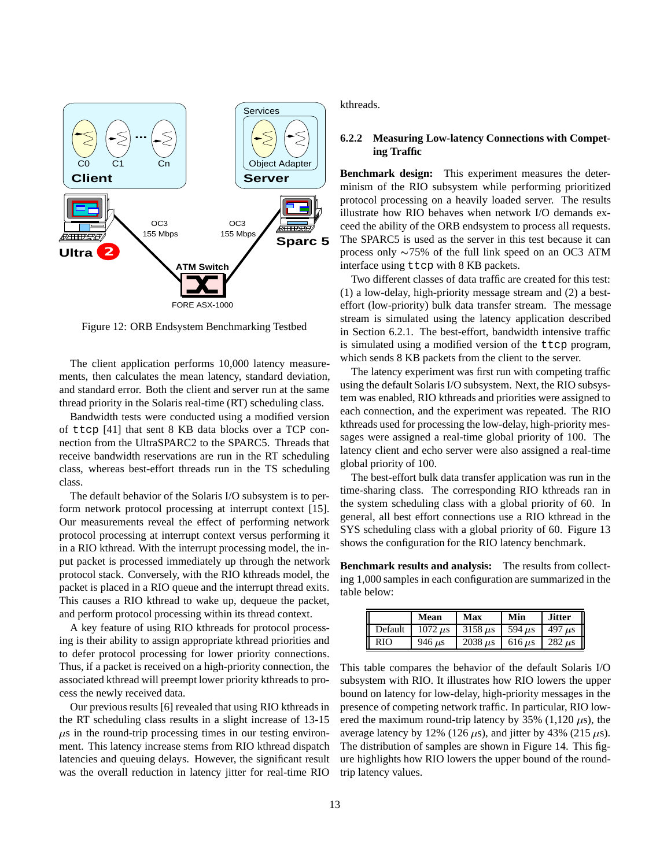

Figure 12: ORB Endsystem Benchmarking Testbed

The client application performs 10,000 latency measurements, then calculates the mean latency, standard deviation, and standard error. Both the client and server run at the same thread priority in the Solaris real-time (RT) scheduling class.

Bandwidth tests were conducted using a modified version of ttcp [41] that sent 8 KB data blocks over a TCP connection from the UltraSPARC2 to the SPARC5. Threads that receive bandwidth reservations are run in the RT scheduling class, whereas best-effort threads run in the TS scheduling class.

The default behavior of the Solaris I/O subsystem is to perform network protocol processing at interrupt context [15]. Our measurements reveal the effect of performing network protocol processing at interrupt context versus performing it in a RIO kthread. With the interrupt processing model, the input packet is processed immediately up through the network protocol stack. Conversely, with the RIO kthreads model, the packet is placed in a RIO queue and the interrupt thread exits. This causes a RIO kthread to wake up, dequeue the packet, and perform protocol processing within its thread context.

A key feature of using RIO kthreads for protocol processing is their ability to assign appropriate kthread priorities and to defer protocol processing for lower priority connections. Thus, if a packet is received on a high-priority connection, the associated kthread will preempt lower priority kthreads to process the newly received data.

Our previous results [6] revealed that using RIO kthreads in the RT scheduling class results in a slight increase of 13-15  $\mu$ s in the round-trip processing times in our testing environment. This latency increase stems from RIO kthread dispatch latencies and queuing delays. However, the significant result was the overall reduction in latency jitter for real-time RIO

kthreads.

#### **6.2.2 Measuring Low-latency Connections with Competing Traffic**

**Benchmark design:** This experiment measures the determinism of the RIO subsystem while performing prioritized protocol processing on a heavily loaded server. The results illustrate how RIO behaves when network I/O demands exceed the ability of the ORB endsystem to process all requests. The SPARC5 is used as the server in this test because it can process only  $\sim$ 75% of the full link speed on an OC3 ATM interface using ttcp with 8 KB packets.

Two different classes of data traffic are created for this test: (1) a low-delay, high-priority message stream and (2) a besteffort (low-priority) bulk data transfer stream. The message stream is simulated using the latency application described in Section 6.2.1. The best-effort, bandwidth intensive traffic is simulated using a modified version of the ttcp program, which sends 8 KB packets from the client to the server.

The latency experiment was first run with competing traffic using the default Solaris I/O subsystem. Next, the RIO subsystem was enabled, RIO kthreads and priorities were assigned to each connection, and the experiment was repeated. The RIO kthreads used for processing the low-delay, high-priority messages were assigned a real-time global priority of 100. The latency client and echo server were also assigned a real-time global priority of 100.

The best-effort bulk data transfer application was run in the time-sharing class. The corresponding RIO kthreads ran in the system scheduling class with a global priority of 60. In general, all best effort connections use a RIO kthread in the SYS scheduling class with a global priority of 60. Figure 13 shows the configuration for the RIO latency benchmark.

**Benchmark results and analysis:** The results from collecting 1,000 samples in each configuration are summarized in the table below:

|            | Mean                       | Max                        | Min         | <b>Jitter</b>             |
|------------|----------------------------|----------------------------|-------------|---------------------------|
| Default    | $1072 \text{ }\mu\text{s}$ | $3158 \text{ }\mu\text{s}$ | 594 $\mu$ s | $497 \text{ }\mu\text{s}$ |
| <b>RIO</b> | 946 $\mu$ s                | $2038 \mu s$               | $616 \mu s$ | $282 \text{ }\mu\text{s}$ |

This table compares the behavior of the default Solaris I/O subsystem with RIO. It illustrates how RIO lowers the upper bound on latency for low-delay, high-priority messages in the presence of competing network traffic. In particular, RIO lowered the maximum round-trip latency by 35% (1,120  $\mu$ s), the average latency by 12% (126  $\mu$ s), and jitter by 43% (215  $\mu$ s). The distribution of samples are shown in Figure 14. This figure highlights how RIO lowers the upper bound of the roundtrip latency values.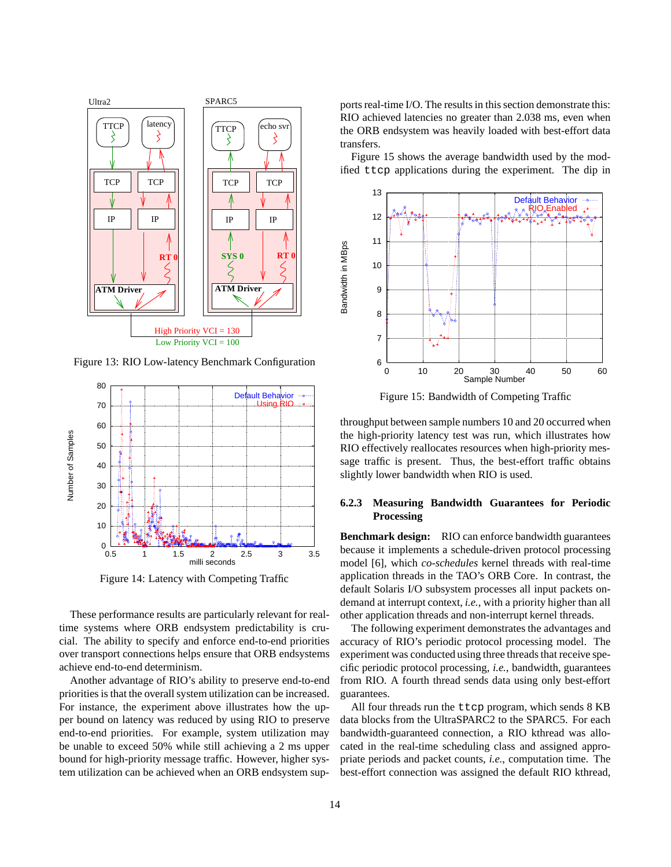

Figure 13: RIO Low-latency Benchmark Configuration



Figure 14: Latency with Competing Traffic

These performance results are particularly relevant for realtime systems where ORB endsystem predictability is crucial. The ability to specify and enforce end-to-end priorities over transport connections helps ensure that ORB endsystems achieve end-to-end determinism.

Another advantage of RIO's ability to preserve end-to-end priorities is that the overall system utilization can be increased. For instance, the experiment above illustrates how the upper bound on latency was reduced by using RIO to preserve end-to-end priorities. For example, system utilization may be unable to exceed 50% while still achieving a 2 ms upper bound for high-priority message traffic. However, higher system utilization can be achieved when an ORB endsystem supports real-time I/O. The results in this section demonstrate this: RIO achieved latencies no greater than 2.038 ms, even when the ORB endsystem was heavily loaded with best-effort data transfers.

Figure 15 shows the average bandwidth used by the modified ttcp applications during the experiment. The dip in



Figure 15: Bandwidth of Competing Traffic

throughput between sample numbers 10 and 20 occurred when the high-priority latency test was run, which illustrates how RIO effectively reallocates resources when high-priority message traffic is present. Thus, the best-effort traffic obtains slightly lower bandwidth when RIO is used.

#### **6.2.3 Measuring Bandwidth Guarantees for Periodic Processing**

**Benchmark design:** RIO can enforce bandwidth guarantees because it implements a schedule-driven protocol processing model [6], which *co-schedules* kernel threads with real-time application threads in the TAO's ORB Core. In contrast, the default Solaris I/O subsystem processes all input packets ondemand at interrupt context, *i.e.*, with a priority higher than all other application threads and non-interrupt kernel threads.

The following experiment demonstrates the advantages and accuracy of RIO's periodic protocol processing model. The experiment was conducted using three threads that receive specific periodic protocol processing, *i.e.*, bandwidth, guarantees from RIO. A fourth thread sends data using only best-effort guarantees.

All four threads run the ttcp program, which sends 8 KB data blocks from the UltraSPARC2 to the SPARC5. For each bandwidth-guaranteed connection, a RIO kthread was allocated in the real-time scheduling class and assigned appropriate periods and packet counts, *i.e.*, computation time. The best-effort connection was assigned the default RIO kthread,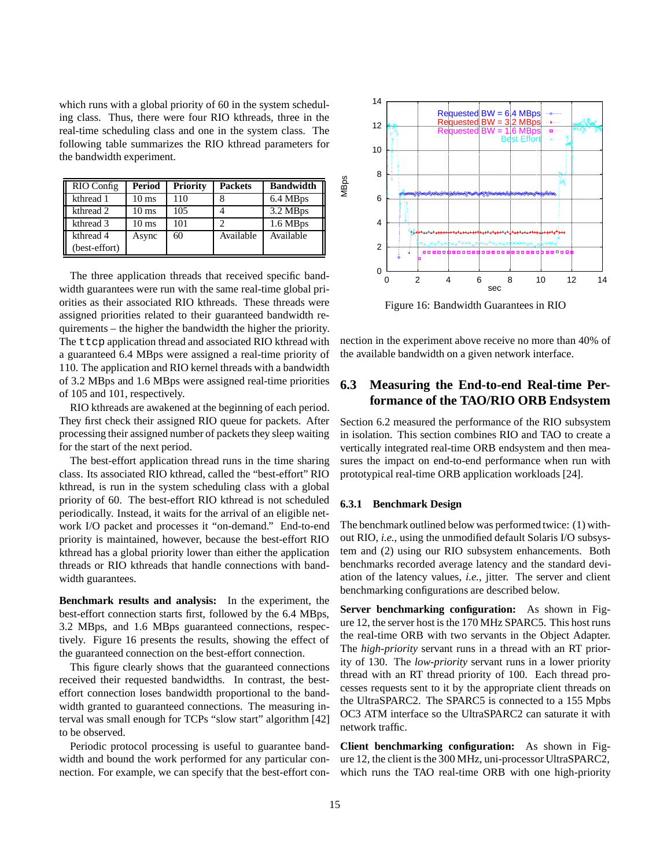which runs with a global priority of 60 in the system scheduling class. Thus, there were four RIO kthreads, three in the real-time scheduling class and one in the system class. The following table summarizes the RIO kthread parameters for the bandwidth experiment.

| RIO Config    | <b>Period</b>   | <b>Priority</b> | <b>Packets</b> | <b>Bandwidth</b> |
|---------------|-----------------|-----------------|----------------|------------------|
| kthread 1     | $10 \text{ ms}$ | 110             |                | 6.4 MBps         |
| kthread 2     | $10 \text{ ms}$ | 105             |                | 3.2 MBps         |
| kthread 3     | $10 \text{ ms}$ | 101             |                | 1.6 MBps         |
| kthread 4     | Async           | 60              | Available      | Available        |
| (best-effort) |                 |                 |                |                  |

The three application threads that received specific bandwidth guarantees were run with the same real-time global priorities as their associated RIO kthreads. These threads were assigned priorities related to their guaranteed bandwidth requirements – the higher the bandwidth the higher the priority. The ttcp application thread and associated RIO kthread with a guaranteed 6.4 MBps were assigned a real-time priority of 110. The application and RIO kernel threads with a bandwidth of 3.2 MBps and 1.6 MBps were assigned real-time priorities of 105 and 101, respectively.

RIO kthreads are awakened at the beginning of each period. They first check their assigned RIO queue for packets. After processing their assigned number of packets they sleep waiting for the start of the next period.

The best-effort application thread runs in the time sharing class. Its associated RIO kthread, called the "best-effort" RIO kthread, is run in the system scheduling class with a global priority of 60. The best-effort RIO kthread is not scheduled periodically. Instead, it waits for the arrival of an eligible network I/O packet and processes it "on-demand." End-to-end priority is maintained, however, because the best-effort RIO kthread has a global priority lower than either the application threads or RIO kthreads that handle connections with bandwidth guarantees.

**Benchmark results and analysis:** In the experiment, the best-effort connection starts first, followed by the 6.4 MBps, 3.2 MBps, and 1.6 MBps guaranteed connections, respectively. Figure 16 presents the results, showing the effect of the guaranteed connection on the best-effort connection.

This figure clearly shows that the guaranteed connections received their requested bandwidths. In contrast, the besteffort connection loses bandwidth proportional to the bandwidth granted to guaranteed connections. The measuring interval was small enough for TCPs "slow start" algorithm [42] to be observed.

Periodic protocol processing is useful to guarantee bandwidth and bound the work performed for any particular connection. For example, we can specify that the best-effort con-



Figure 16: Bandwidth Guarantees in RIO

nection in the experiment above receive no more than 40% of the available bandwidth on a given network interface.

## **6.3 Measuring the End-to-end Real-time Performance of the TAO/RIO ORB Endsystem**

Section 6.2 measured the performance of the RIO subsystem in isolation. This section combines RIO and TAO to create a vertically integrated real-time ORB endsystem and then measures the impact on end-to-end performance when run with prototypical real-time ORB application workloads [24].

#### **6.3.1 Benchmark Design**

MBps

The benchmark outlined below was performed twice: (1) without RIO, *i.e.*, using the unmodified default Solaris I/O subsystem and (2) using our RIO subsystem enhancements. Both benchmarks recorded average latency and the standard deviation of the latency values, *i.e.*, jitter. The server and client benchmarking configurations are described below.

**Server benchmarking configuration:** As shown in Figure 12, the server host is the 170 MHz SPARC5. This host runs the real-time ORB with two servants in the Object Adapter. The *high-priority* servant runs in a thread with an RT priority of 130. The *low-priority* servant runs in a lower priority thread with an RT thread priority of 100. Each thread processes requests sent to it by the appropriate client threads on the UltraSPARC2. The SPARC5 is connected to a 155 Mpbs OC3 ATM interface so the UltraSPARC2 can saturate it with network traffic.

**Client benchmarking configuration:** As shown in Figure 12, the client is the 300 MHz, uni-processor UltraSPARC2, which runs the TAO real-time ORB with one high-priority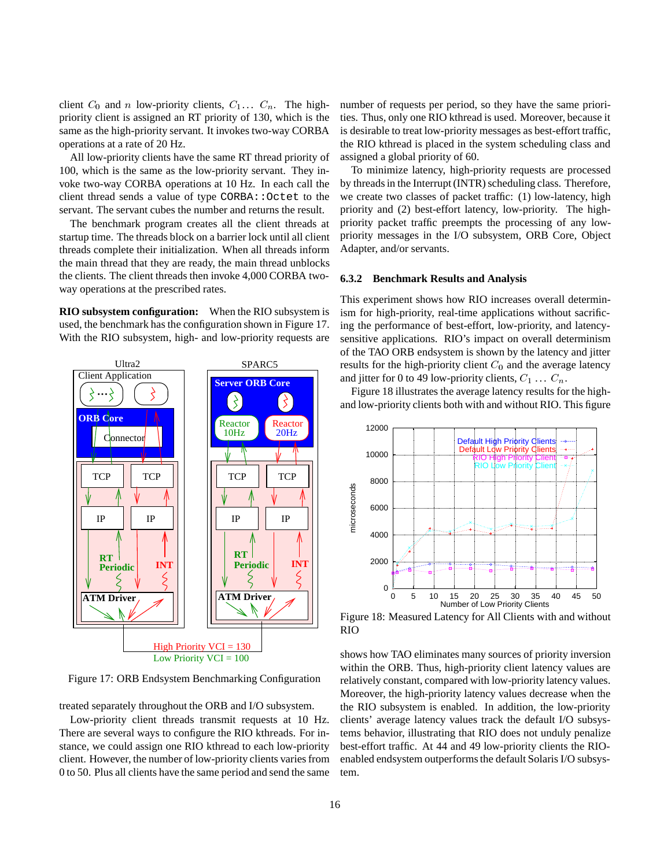client  $C_0$  and n low-priority clients,  $C_1 \ldots C_n$ . The highpriority client is assigned an RT priority of 130, which is the same as the high-priority servant. It invokes two-way CORBA operations at a rate of 20 Hz.

All low-priority clients have the same RT thread priority of 100, which is the same as the low-priority servant. They invoke two-way CORBA operations at 10 Hz. In each call the client thread sends a value of type CORBA:: Octet to the servant. The servant cubes the number and returns the result.

The benchmark program creates all the client threads at startup time. The threads block on a barrier lock until all client threads complete their initialization. When all threads inform the main thread that they are ready, the main thread unblocks the clients. The client threads then invoke 4,000 CORBA twoway operations at the prescribed rates.

**RIO subsystem configuration:** When the RIO subsystem is used, the benchmark has the configuration shown in Figure 17. With the RIO subsystem, high- and low-priority requests are



Figure 17: ORB Endsystem Benchmarking Configuration

treated separately throughout the ORB and I/O subsystem.

Low-priority client threads transmit requests at 10 Hz. There are several ways to configure the RIO kthreads. For instance, we could assign one RIO kthread to each low-priority client. However, the number of low-priority clients varies from 0 to 50. Plus all clients have the same period and send the same number of requests per period, so they have the same priorities. Thus, only one RIO kthread is used. Moreover, because it is desirable to treat low-priority messages as best-effort traffic, the RIO kthread is placed in the system scheduling class and assigned a global priority of 60.

To minimize latency, high-priority requests are processed by threads in the Interrupt (INTR) scheduling class. Therefore, we create two classes of packet traffic: (1) low-latency, high priority and (2) best-effort latency, low-priority. The highpriority packet traffic preempts the processing of any lowpriority messages in the I/O subsystem, ORB Core, Object Adapter, and/or servants.

#### **6.3.2 Benchmark Results and Analysis**

This experiment shows how RIO increases overall determinism for high-priority, real-time applications without sacrificing the performance of best-effort, low-priority, and latencysensitive applications. RIO's impact on overall determinism of the TAO ORB endsystem is shown by the latency and jitter results for the high-priority client  $C_0$  and the average latency and jitter for 0 to 49 low-priority clients,  $C_1 \ldots C_n$ .

Figure 18 illustrates the average latency results for the highand low-priority clients both with and without RIO. This figure



Figure 18: Measured Latency for All Clients with and without RIO

shows how TAO eliminates many sources of priority inversion within the ORB. Thus, high-priority client latency values are relatively constant, compared with low-priority latency values. Moreover, the high-priority latency values decrease when the the RIO subsystem is enabled. In addition, the low-priority clients' average latency values track the default I/O subsystems behavior, illustrating that RIO does not unduly penalize best-effort traffic. At 44 and 49 low-priority clients the RIOenabled endsystem outperforms the default Solaris I/O subsystem.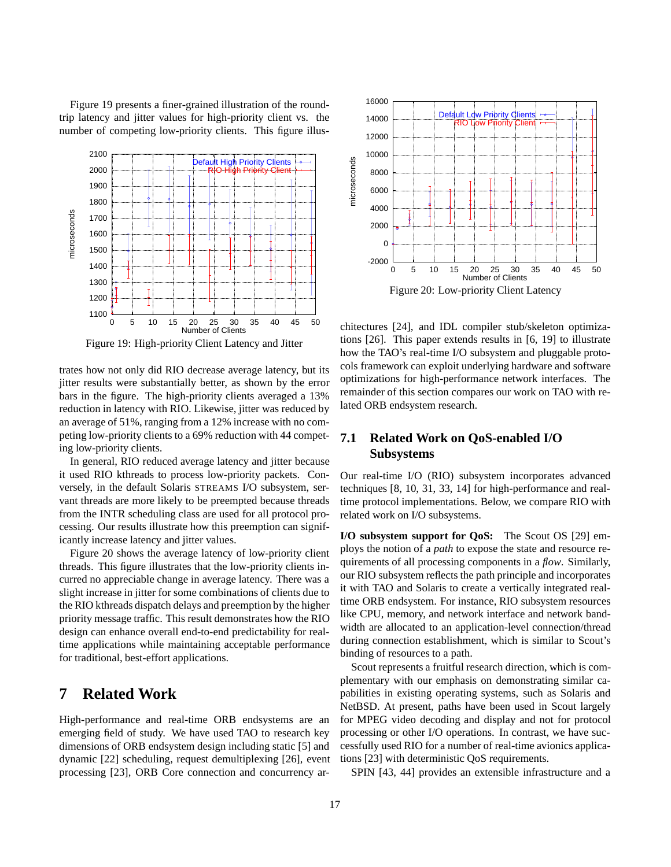Figure 19 presents a finer-grained illustration of the roundtrip latency and jitter values for high-priority client vs. the number of competing low-priority clients. This figure illus-



Figure 19: High-priority Client Latency and Jitter

trates how not only did RIO decrease average latency, but its jitter results were substantially better, as shown by the error bars in the figure. The high-priority clients averaged a 13% reduction in latency with RIO. Likewise, jitter was reduced by an average of 51%, ranging from a 12% increase with no competing low-priority clients to a 69% reduction with 44 competing low-priority clients.

In general, RIO reduced average latency and jitter because it used RIO kthreads to process low-priority packets. Conversely, in the default Solaris STREAMS I/O subsystem, servant threads are more likely to be preempted because threads from the INTR scheduling class are used for all protocol processing. Our results illustrate how this preemption can significantly increase latency and jitter values.

Figure 20 shows the average latency of low-priority client threads. This figure illustrates that the low-priority clients incurred no appreciable change in average latency. There was a slight increase in jitter for some combinations of clients due to the RIO kthreads dispatch delays and preemption by the higher priority message traffic. This result demonstrates how the RIO design can enhance overall end-to-end predictability for realtime applications while maintaining acceptable performance for traditional, best-effort applications.

# **7 Related Work**

High-performance and real-time ORB endsystems are an emerging field of study. We have used TAO to research key dimensions of ORB endsystem design including static [5] and dynamic [22] scheduling, request demultiplexing [26], event processing [23], ORB Core connection and concurrency ar-



chitectures [24], and IDL compiler stub/skeleton optimizations [26]. This paper extends results in [6, 19] to illustrate how the TAO's real-time I/O subsystem and pluggable protocols framework can exploit underlying hardware and software optimizations for high-performance network interfaces. The remainder of this section compares our work on TAO with related ORB endsystem research.

## **7.1 Related Work on QoS-enabled I/O Subsystems**

Our real-time I/O (RIO) subsystem incorporates advanced techniques [8, 10, 31, 33, 14] for high-performance and realtime protocol implementations. Below, we compare RIO with related work on I/O subsystems.

**I/O subsystem support for QoS:** The Scout OS [29] employs the notion of a *path* to expose the state and resource requirements of all processing components in a *flow*. Similarly, our RIO subsystem reflects the path principle and incorporates it with TAO and Solaris to create a vertically integrated realtime ORB endsystem. For instance, RIO subsystem resources like CPU, memory, and network interface and network bandwidth are allocated to an application-level connection/thread during connection establishment, which is similar to Scout's binding of resources to a path.

Scout represents a fruitful research direction, which is complementary with our emphasis on demonstrating similar capabilities in existing operating systems, such as Solaris and NetBSD. At present, paths have been used in Scout largely for MPEG video decoding and display and not for protocol processing or other I/O operations. In contrast, we have successfully used RIO for a number of real-time avionics applications [23] with deterministic QoS requirements.

SPIN [43, 44] provides an extensible infrastructure and a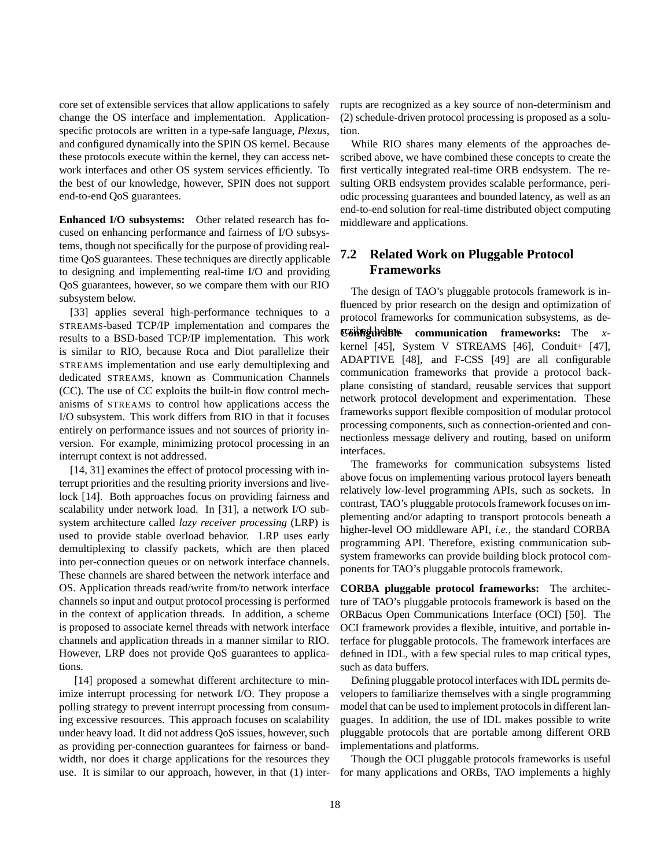core set of extensible services that allow applications to safely change the OS interface and implementation. Applicationspecific protocols are written in a type-safe language, *Plexus*, and configured dynamically into the SPIN OS kernel. Because these protocols execute within the kernel, they can access network interfaces and other OS system services efficiently. To the best of our knowledge, however, SPIN does not support end-to-end QoS guarantees.

**Enhanced I/O subsystems:** Other related research has focused on enhancing performance and fairness of I/O subsystems, though not specifically for the purpose of providing realtime QoS guarantees. These techniques are directly applicable to designing and implementing real-time I/O and providing QoS guarantees, however, so we compare them with our RIO subsystem below.

[33] applies several high-performance techniques to a STREAMS-based TCP/IP implementation and compares the results to a BSD-based TCP/IP implementation. This work is similar to RIO, because Roca and Diot parallelize their STREAMS implementation and use early demultiplexing and dedicated STREAMS, known as Communication Channels (CC). The use of CC exploits the built-in flow control mechanisms of STREAMS to control how applications access the I/O subsystem. This work differs from RIO in that it focuses entirely on performance issues and not sources of priority inversion. For example, minimizing protocol processing in an interrupt context is not addressed.

[14, 31] examines the effect of protocol processing with interrupt priorities and the resulting priority inversions and livelock [14]. Both approaches focus on providing fairness and scalability under network load. In [31], a network I/O subsystem architecture called *lazy receiver processing* (LRP) is used to provide stable overload behavior. LRP uses early demultiplexing to classify packets, which are then placed into per-connection queues or on network interface channels. These channels are shared between the network interface and OS. Application threads read/write from/to network interface channels so input and output protocol processing is performed in the context of application threads. In addition, a scheme is proposed to associate kernel threads with network interface channels and application threads in a manner similar to RIO. However, LRP does not provide QoS guarantees to applications.

[14] proposed a somewhat different architecture to minimize interrupt processing for network I/O. They propose a polling strategy to prevent interrupt processing from consuming excessive resources. This approach focuses on scalability under heavy load. It did not address QoS issues, however, such as providing per-connection guarantees for fairness or bandwidth, nor does it charge applications for the resources they use. It is similar to our approach, however, in that (1) interrupts are recognized as a key source of non-determinism and (2) schedule-driven protocol processing is proposed as a solution.

While RIO shares many elements of the approaches described above, we have combined these concepts to create the first vertically integrated real-time ORB endsystem. The resulting ORB endsystem provides scalable performance, periodic processing guarantees and bounded latency, as well as an end-to-end solution for real-time distributed object computing middleware and applications.

## **7.2 Related Work on Pluggable Protocol Frameworks**

The design of TAO's pluggable protocols framework is influenced by prior research on the design and optimization of protocol frameworks for communication subsystems, as de-**Configurable communication frameworks:** The *x*kernel [45], System V STREAMS [46], Conduit+ [47], ADAPTIVE [48], and F-CSS [49] are all configurable communication frameworks that provide a protocol backplane consisting of standard, reusable services that support network protocol development and experimentation. These frameworks support flexible composition of modular protocol processing components, such as connection-oriented and connectionless message delivery and routing, based on uniform interfaces.

The frameworks for communication subsystems listed above focus on implementing various protocol layers beneath relatively low-level programming APIs, such as sockets. In contrast, TAO's pluggable protocols framework focuses on implementing and/or adapting to transport protocols beneath a higher-level OO middleware API, *i.e.*, the standard CORBA programming API. Therefore, existing communication subsystem frameworks can provide building block protocol components for TAO's pluggable protocols framework.

**CORBA pluggable protocol frameworks:** The architecture of TAO's pluggable protocols framework is based on the ORBacus Open Communications Interface (OCI) [50]. The OCI framework provides a flexible, intuitive, and portable interface for pluggable protocols. The framework interfaces are defined in IDL, with a few special rules to map critical types, such as data buffers.

Defining pluggable protocol interfaces with IDL permits developers to familiarize themselves with a single programming model that can be used to implement protocols in different languages. In addition, the use of IDL makes possible to write pluggable protocols that are portable among different ORB implementations and platforms.

Though the OCI pluggable protocols frameworks is useful for many applications and ORBs, TAO implements a highly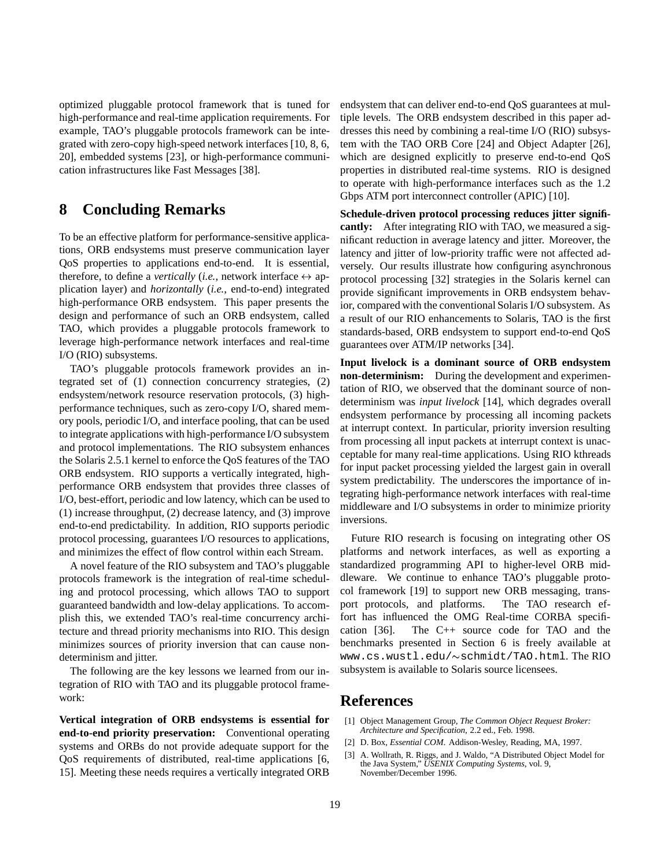optimized pluggable protocol framework that is tuned for high-performance and real-time application requirements. For example, TAO's pluggable protocols framework can be integrated with zero-copy high-speed network interfaces [10, 8, 6, 20], embedded systems [23], or high-performance communication infrastructures like Fast Messages [38].

## **8 Concluding Remarks**

To be an effective platform for performance-sensitive applications, ORB endsystems must preserve communication layer QoS properties to applications end-to-end. It is essential, therefore, to define a *vertically* (*i.e.*, network interface  $\leftrightarrow$  application layer) and *horizontally* (*i.e.*, end-to-end) integrated high-performance ORB endsystem. This paper presents the design and performance of such an ORB endsystem, called TAO, which provides a pluggable protocols framework to leverage high-performance network interfaces and real-time I/O (RIO) subsystems.

TAO's pluggable protocols framework provides an integrated set of (1) connection concurrency strategies, (2) endsystem/network resource reservation protocols, (3) highperformance techniques, such as zero-copy I/O, shared memory pools, periodic I/O, and interface pooling, that can be used to integrate applications with high-performance I/O subsystem and protocol implementations. The RIO subsystem enhances the Solaris 2.5.1 kernel to enforce the QoS features of the TAO ORB endsystem. RIO supports a vertically integrated, highperformance ORB endsystem that provides three classes of I/O, best-effort, periodic and low latency, which can be used to (1) increase throughput, (2) decrease latency, and (3) improve end-to-end predictability. In addition, RIO supports periodic protocol processing, guarantees I/O resources to applications, and minimizes the effect of flow control within each Stream.

A novel feature of the RIO subsystem and TAO's pluggable protocols framework is the integration of real-time scheduling and protocol processing, which allows TAO to support guaranteed bandwidth and low-delay applications. To accomplish this, we extended TAO's real-time concurrency architecture and thread priority mechanisms into RIO. This design minimizes sources of priority inversion that can cause nondeterminism and jitter.

The following are the key lessons we learned from our integration of RIO with TAO and its pluggable protocol framework:

**Vertical integration of ORB endsystems is essential for end-to-end priority preservation:** Conventional operating systems and ORBs do not provide adequate support for the QoS requirements of distributed, real-time applications [6, 15]. Meeting these needs requires a vertically integrated ORB

endsystem that can deliver end-to-end QoS guarantees at multiple levels. The ORB endsystem described in this paper addresses this need by combining a real-time I/O (RIO) subsystem with the TAO ORB Core [24] and Object Adapter [26], which are designed explicitly to preserve end-to-end QoS properties in distributed real-time systems. RIO is designed to operate with high-performance interfaces such as the 1.2 Gbps ATM port interconnect controller (APIC) [10].

**Schedule-driven protocol processing reduces jitter significantly:** After integrating RIO with TAO, we measured a significant reduction in average latency and jitter. Moreover, the latency and jitter of low-priority traffic were not affected adversely. Our results illustrate how configuring asynchronous protocol processing [32] strategies in the Solaris kernel can provide significant improvements in ORB endsystem behavior, compared with the conventional Solaris I/O subsystem. As a result of our RIO enhancements to Solaris, TAO is the first standards-based, ORB endsystem to support end-to-end QoS guarantees over ATM/IP networks [34].

**Input livelock is a dominant source of ORB endsystem non-determinism:** During the development and experimentation of RIO, we observed that the dominant source of nondeterminism was *input livelock* [14], which degrades overall endsystem performance by processing all incoming packets at interrupt context. In particular, priority inversion resulting from processing all input packets at interrupt context is unacceptable for many real-time applications. Using RIO kthreads for input packet processing yielded the largest gain in overall system predictability. The underscores the importance of integrating high-performance network interfaces with real-time middleware and I/O subsystems in order to minimize priority inversions.

Future RIO research is focusing on integrating other OS platforms and network interfaces, as well as exporting a standardized programming API to higher-level ORB middleware. We continue to enhance TAO's pluggable protocol framework [19] to support new ORB messaging, transport protocols, and platforms. The TAO research effort has influenced the OMG Real-time CORBA specification [36]. The C++ source code for TAO and the benchmarks presented in Section 6 is freely available at www.cs.wustl.edu/~schmidt/TAO.html.The RIO subsystem is available to Solaris source licensees.

## **References**

- [1] Object Management Group, *The Common Object Request Broker: Architecture and Specification*, 2.2 ed., Feb. 1998.
- [2] D. Box, *Essential COM*. Addison-Wesley, Reading, MA, 1997.
- [3] A. Wollrath, R. Riggs, and J. Waldo, "A Distributed Object Model for the Java System," *USENIX Computing Systems*, vol. 9, November/December 1996.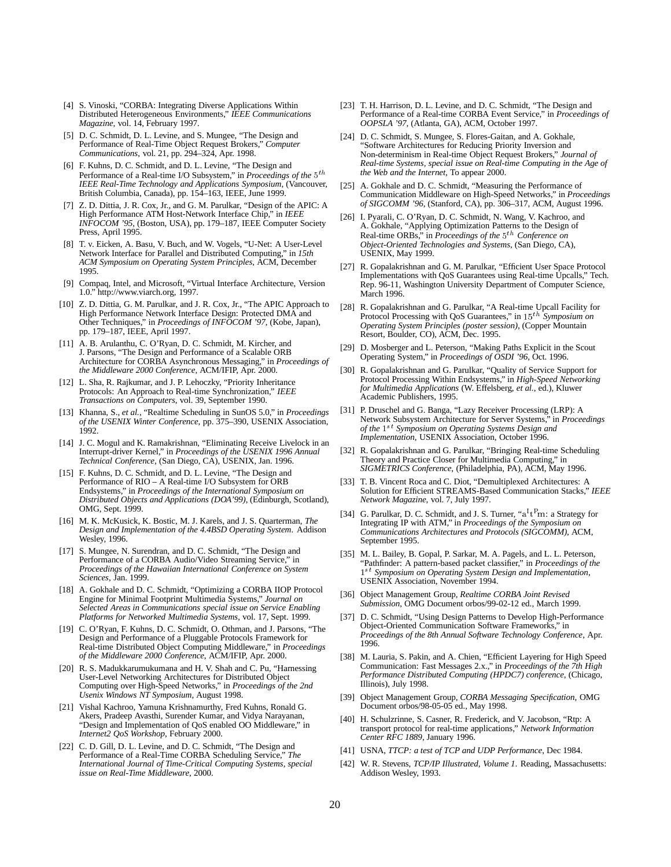- [4] S. Vinoski, "CORBA: Integrating Diverse Applications Within Distributed Heterogeneous Environments," *IEEE Communications Magazine*, vol. 14, February 1997.
- [5] D. C. Schmidt, D. L. Levine, and S. Mungee, "The Design and Performance of Real-Time Object Request Brokers," *Computer Communications*, vol. 21, pp. 294–324, Apr. 1998.
- [6] F. Kuhns, D. C. Schmidt, and D. L. Levine, "The Design and Performance of a Real-time I/O Subsystem," in *Proceedings of the*  $5^{th}$ *IEEE Real-Time Technology and Applications Symposium*, (Vancouver, British Columbia, Canada), pp. 154-163, IEEE, June 1999.
- [7] Z. D. Dittia, J. R. Cox, Jr., and G. M. Parulkar, "Design of the APIC: A High Performance ATM Host-Network Interface Chip," in *IEEE INFOCOM '95*, (Boston, USA), pp. 179–187, IEEE Computer Society Press, April 1995.
- [8] T. v. Eicken, A. Basu, V. Buch, and W. Vogels, "U-Net: A User-Level Network Interface for Parallel and Distributed Computing," in *15th ACM Symposium on Operating System Principles*, ACM, December 1995.
- [9] Compaq, Intel, and Microsoft, "Virtual Interface Architecture, Version 1.0." http://www.viarch.org, 1997.
- [10] Z. D. Dittia, G. M. Parulkar, and J. R. Cox, Jr., "The APIC Approach to High Performance Network Interface Design: Protected DMA and Other Techniques," in *Proceedings of INFOCOM '97*, (Kobe, Japan), pp. 179–187, IEEE, April 1997.
- [11] A. B. Arulanthu, C. O'Ryan, D. C. Schmidt, M. Kircher, and J. Parsons, "The Design and Performance of a Scalable ORB Architecture for CORBA Asynchronous Messaging," in *Proceedings of the Middleware 2000 Conference*, ACM/IFIP, Apr. 2000.
- [12] L. Sha, R. Rajkumar, and J. P. Lehoczky, "Priority Inheritance Protocols: An Approach to Real-time Synchronization," *IEEE Transactions on Computers*, vol. 39, September 1990.
- [13] Khanna, S., *et al.*, "Realtime Scheduling in SunOS 5.0," in *Proceedings of the USENIX Winter Conference*, pp. 375–390, USENIX Association, 1992.
- [14] J. C. Mogul and K. Ramakrishnan, "Eliminating Receive Livelock in an Interrupt-driver Kernel," in *Proceedings of the USENIX 1996 Annual Technical Conference*, (San Diego, CA), USENIX, Jan. 1996.
- [15] F. Kuhns, D. C. Schmidt, and D. L. Levine, "The Design and Performance of RIO – A Real-time I/O Subsystem for ORB Endsystems," in *Proceedings of the International Symposium on Distributed Objects and Applications (DOA'99)*, (Edinburgh, Scotland), OMG, Sept. 1999.
- [16] M. K. McKusick, K. Bostic, M. J. Karels, and J. S. Quarterman, *The Design and Implementation of the 4.4BSD Operating System*. Addison Wesley, 1996.
- [17] S. Mungee, N. Surendran, and D. C. Schmidt, "The Design and Performance of a CORBA Audio/Video Streaming Service," in *Proceedings of the Hawaiian International Conference on System Sciences*, Jan. 1999.
- [18] A. Gokhale and D. C. Schmidt, "Optimizing a CORBA IIOP Protocol Engine for Minimal Footprint Multimedia Systems," *Journal on Selected Areas in Communications special issue on Service Enabling Platforms for Networked Multimedia Systems*, vol. 17, Sept. 1999.
- [19] C. O'Ryan, F. Kuhns, D. C. Schmidt, O. Othman, and J. Parsons, "The Design and Performance of a Pluggable Protocols Framework for Real-time Distributed Object Computing Middleware," in *Proceedings of the Middleware 2000 Conference*, ACM/IFIP, Apr. 2000.
- [20] R. S. Madukkarumukumana and H. V. Shah and C. Pu, "Harnessing User-Level Networking Architectures for Distributed Object Computing over High-Speed Networks," in *Proceedings of the 2nd Usenix Windows NT Symposium*, August 1998.
- [21] Vishal Kachroo, Yamuna Krishnamurthy, Fred Kuhns, Ronald G. Akers, Pradeep Avasthi, Surender Kumar, and Vidya Narayanan, "Design and Implementation of QoS enabled OO Middleware," in *Internet2 QoS Workshop*, February 2000.
- [22] C. D. Gill, D. L. Levine, and D. C. Schmidt, "The Design and Performance of a Real-Time CORBA Scheduling Service," *The International Journal of Time-Critical Computing Systems, special issue on Real-Time Middleware*, 2000.
- [23] T. H. Harrison, D. L. Levine, and D. C. Schmidt, "The Design and Performance of a Real-time CORBA Event Service," in *Proceedings of OOPSLA '97*, (Atlanta, GA), ACM, October 1997.
- [24] D. C. Schmidt, S. Mungee, S. Flores-Gaitan, and A. Gokhale, "Software Architectures for Reducing Priority Inversion and Non-determinism in Real-time Object Request Brokers," *Journal of Real-time Systems, special issue on Real-time Computing in the Age of the Web and the Internet*, To appear 2000.
- [25] A. Gokhale and D. C. Schmidt, "Measuring the Performance of Communication Middleware on High-Speed Networks," in *Proceedings of SIGCOMM '96*, (Stanford, CA), pp. 306–317, ACM, August 1996.
- [26] I. Pyarali, C. O'Ryan, D. C. Schmidt, N. Wang, V. Kachroo, and A. Gokhale, "Applying Optimization Patterns to the Design of Real-time ORBs," in *Proceedings of the* <sup>5</sup>th *Conference on Object-Oriented Technologies and Systems*, (San Diego, CA), USENIX, May 1999.
- [27] R. Gopalakrishnan and G. M. Parulkar, "Efficient User Space Protocol Implementations with QoS Guarantees using Real-time Upcalls," Tech. Rep. 96-11, Washington University Department of Computer Science, March 1996.
- [28] R. Gopalakrishnan and G. Parulkar, "A Real-time Upcall Facility for Protocol Processing with QoS Guarantees," in <sup>15</sup>th *Symposium on Operating System Principles (poster session)*, (Copper Mountain Resort, Boulder, CO), ACM, Dec. 1995.
- [29] D. Mosberger and L. Peterson, "Making Paths Explicit in the Scout Operating System," in *Proceedings of OSDI '96*, Oct. 1996.
- [30] R. Gopalakrishnan and G. Parulkar, "Quality of Service Support for Protocol Processing Within Endsystems," in *High-Speed Networking for Multimedia Applications* (W. Effelsberg, *et al.*, ed.), Kluwer Academic Publishers, 1995.
- [31] P. Druschel and G. Banga, "Lazy Receiver Processing (LRP): A Network Subsystem Architecture for Server Systems," in *Proceedings of the* <sup>1</sup>st *Symposium on Operating Systems Design and Implementation*, USENIX Association, October 1996.
- [32] R. Gopalakrishnan and G. Parulkar, "Bringing Real-time Scheduling Theory and Practice Closer for Multimedia Computing," in *SIGMETRICS Conference*, (Philadelphia, PA), ACM, May 1996.
- [33] T. B. Vincent Roca and C. Diot, "Demultiplexed Architectures: A Solution for Efficient STREAMS-Based Communication Stacks," *IEEE Network Magazine*, vol. 7, July 1997.
- [34] G. Parulkar, D. C. Schmidt, and J. S. Turner, " $a^I t^P m$ : a Strategy for Integrating IP with ATM," in *Proceedings of the Symposium on Communications Architectures and Protocols (SIGCOMM)*, ACM, September 1995.
- [35] M. L. Bailey, B. Gopal, P. Sarkar, M. A. Pagels, and L. L. Peterson, "Pathfinder: A pattern-based packet classifier," in *Proceedings of the* 1st *Symposium on Operating System Design and Implementation*, USENIX Association, November 1994.
- [36] Object Management Group, *Realtime CORBA Joint Revised Submission*, OMG Document orbos/99-02-12 ed., March 1999.
- [37] D. C. Schmidt, "Using Design Patterns to Develop High-Performance Object-Oriented Communication Software Frameworks," in *Proceedings of the 8th Annual Software Technology Conference*, Apr. 1996.
- [38] M. Lauria, S. Pakin, and A. Chien, "Efficient Layering for High Speed Communication: Fast Messages 2.x.," in *Proceedings of the 7th High Performance Distributed Computing (HPDC7) conference*, (Chicago, Illinois), July 1998.
- [39] Object Management Group, *CORBA Messaging Specification*, OMG Document orbos/98-05-05 ed., May 1998.
- [40] H. Schulzrinne, S. Casner, R. Frederick, and V. Jacobson, "Rtp: A transport protocol for real-time applications," *Network Information Center RFC 1889*, January 1996.
- [41] USNA, *TTCP: a test of TCP and UDP Performance*, Dec 1984.
- [42] W. R. Stevens, *TCP/IP Illustrated, Volume 1*. Reading, Massachusetts: Addison Wesley, 1993.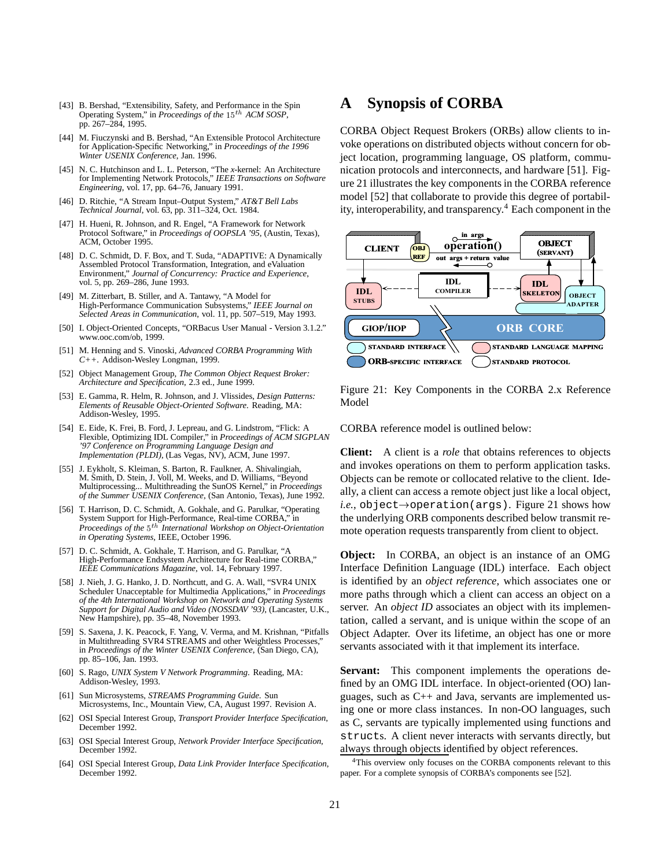- [43] B. Bershad, "Extensibility, Safety, and Performance in the Spin Operating System," in *Proceedings of the* <sup>15</sup>th *ACM SOSP*, pp. 267–284, 1995.
- [44] M. Fiuczynski and B. Bershad, "An Extensible Protocol Architecture for Application-Specific Networking," in *Proceedings of the 1996* Winter USENIX Conference, Jan. 1996.
- [45] N. C. Hutchinson and L. L. Peterson, "The *x*-kernel: An Architecture for Implementing Network Protocols," *IEEE Transactions on Software Engineering*, vol. 17, pp. 64–76, January 1991.
- [46] D. Ritchie, "A Stream Input–Output System," *AT&T Bell Labs Technical Journal*, vol. 63, pp. 311–324, Oct. 1984.
- [47] H. Hueni, R. Johnson, and R. Engel, "A Framework for Network Protocol Software," in *Proceedings of OOPSLA '95*, (Austin, Texas), ACM, October 1995.
- [48] D. C. Schmidt, D. F. Box, and T. Suda, "ADAPTIVE: A Dynamically Assembled Protocol Transformation, Integration, and eValuation Environment," *Journal of Concurrency: Practice and Experience*, vol. 5, pp. 269–286, June 1993.
- [49] M. Zitterbart, B. Stiller, and A. Tantawy, "A Model for High-Performance Communication Subsystems," *IEEE Journal on Selected Areas in Communication*, vol. 11, pp. 507–519, May 1993.
- [50] I. Object-Oriented Concepts, "ORBacus User Manual Version 3.1.2." www.ooc.com/ob, 1999.
- [51] M. Henning and S. Vinoski, *Advanced CORBA Programming With C++*. Addison-Wesley Longman, 1999.
- [52] Object Management Group, *The Common Object Request Broker: Architecture and Specification*, 2.3 ed., June 1999.
- [53] E. Gamma, R. Helm, R. Johnson, and J. Vlissides, *Design Patterns: Elements of Reusable Object-Oriented Software*. Reading, MA: Addison-Wesley, 1995.
- [54] E. Eide, K. Frei, B. Ford, J. Lepreau, and G. Lindstrom, "Flick: A Flexible, Optimizing IDL Compiler," in *Proceedings of ACM SIGPLAN '97 Conference on Programming Language Design and Implementation (PLDI)*, (Las Vegas, NV), ACM, June 1997.
- [55] J. Eykholt, S. Kleiman, S. Barton, R. Faulkner, A. Shivalingiah, M. Smith, D. Stein, J. Voll, M. Weeks, and D. Williams, "Beyond Multiprocessing... Multithreading the SunOS Kernel," in *Proceedings of the Summer USENIX Conference*, (San Antonio, Texas), June 1992.
- [56] T. Harrison, D. C. Schmidt, A. Gokhale, and G. Parulkar, "Operating System Support for High-Performance, Real-time CORBA," in *Proceedings of the*  $5^{th}$  *International Workshop on Object-Orientation in Operating Systems*, IEEE, October 1996.
- [57] D. C. Schmidt, A. Gokhale, T. Harrison, and G. Parulkar, "A High-Performance Endsystem Architecture for Real-time CORBA," *IEEE Communications Magazine*, vol. 14, February 1997.
- [58] J. Nieh, J. G. Hanko, J. D. Northcutt, and G. A. Wall, "SVR4 UNIX Scheduler Unacceptable for Multimedia Applications," in *Proceedings of the 4th International Workshop on Network and Operating Systems Support for Digital Audio and Video (NOSSDAV '93)*, (Lancaster, U.K., New Hampshire), pp. 35–48, November 1993.
- [59] S. Saxena, J. K. Peacock, F. Yang, V. Verma, and M. Krishnan, "Pitfalls in Multithreading SVR4 STREAMS and other Weightless Processes," in *Proceedings of the Winter USENIX Conference*, (San Diego, CA), pp. 85–106, Jan. 1993.
- [60] S. Rago, *UNIX System V Network Programming*. Reading, MA: Addison-Wesley, 1993.
- [61] Sun Microsystems, *STREAMS Programming Guide*. Sun Microsystems, Inc., Mountain View, CA, August 1997. Revision A.
- [62] OSI Special Interest Group, *Transport Provider Interface Specification*, December 1992.
- [63] OSI Special Interest Group, *Network Provider Interface Specification*, December 1992.
- [64] OSI Special Interest Group, *Data Link Provider Interface Specification*, December 1992.

# **A Synopsis of CORBA**

CORBA Object Request Brokers (ORBs) allow clients to invoke operations on distributed objects without concern for object location, programming language, OS platform, communication protocols and interconnects, and hardware [51]. Figure 21 illustrates the key components in the CORBA reference model [52] that collaborate to provide this degree of portability, interoperability, and transparency.<sup>4</sup> Each component in the



Figure 21: Key Components in the CORBA 2.x Reference Model

CORBA reference model is outlined below:

**Client:** A client is a *role* that obtains references to objects and invokes operations on them to perform application tasks. Objects can be remote or collocated relative to the client. Ideally, a client can access a remote object just like a local object,  $i.e.,$  object  $\rightarrow$  operation(args). Figure 21 shows how the underlying ORB components described below transmit remote operation requests transparently from client to object.

**Object:** In CORBA, an object is an instance of an OMG Interface Definition Language (IDL) interface. Each object is identified by an *object reference*, which associates one or more paths through which a client can access an object on a server. An *object ID* associates an object with its implementation, called a servant, and is unique within the scope of an Object Adapter. Over its lifetime, an object has one or more servants associated with it that implement its interface.

**Servant:** This component implements the operations defined by an OMG IDL interface. In object-oriented (OO) languages, such as C++ and Java, servants are implemented using one or more class instances. In non-OO languages, such as C, servants are typically implemented using functions and structs. A client never interacts with servants directly, but always through objects identified by object references.

<sup>4</sup>This overview only focuses on the CORBA components relevant to this paper. For a complete synopsis of CORBA's components see [52].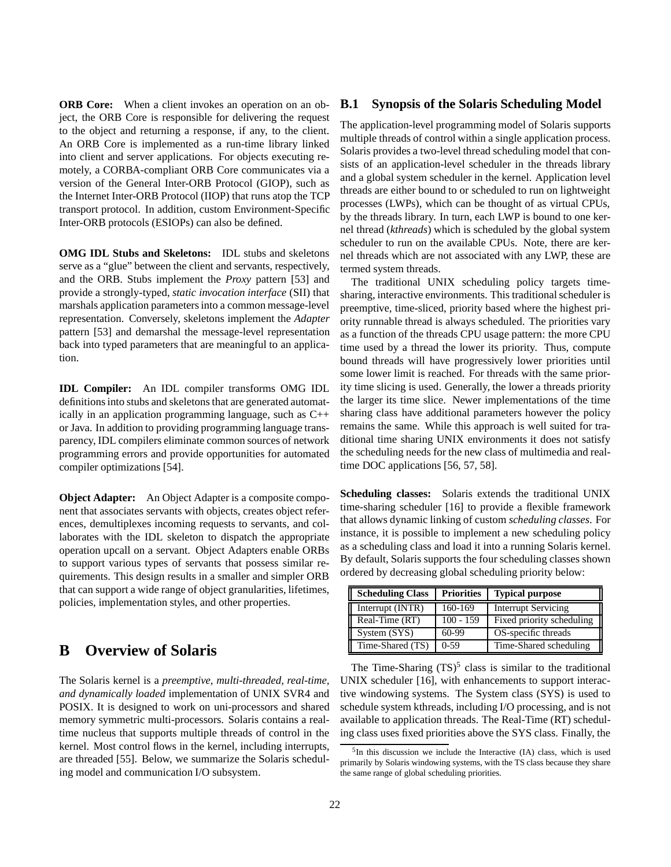**ORB Core:** When a client invokes an operation on an object, the ORB Core is responsible for delivering the request to the object and returning a response, if any, to the client. An ORB Core is implemented as a run-time library linked into client and server applications. For objects executing remotely, a CORBA-compliant ORB Core communicates via a version of the General Inter-ORB Protocol (GIOP), such as the Internet Inter-ORB Protocol (IIOP) that runs atop the TCP transport protocol. In addition, custom Environment-Specific Inter-ORB protocols (ESIOPs) can also be defined.

**OMG IDL Stubs and Skeletons:** IDL stubs and skeletons serve as a "glue" between the client and servants, respectively, and the ORB. Stubs implement the *Proxy* pattern [53] and provide a strongly-typed, *static invocation interface* (SII) that marshals application parameters into a common message-level representation. Conversely, skeletons implement the *Adapter* pattern [53] and demarshal the message-level representation back into typed parameters that are meaningful to an application.

**IDL Compiler:** An IDL compiler transforms OMG IDL definitions into stubs and skeletons that are generated automatically in an application programming language, such as C++ or Java. In addition to providing programming language transparency, IDL compilers eliminate common sources of network programming errors and provide opportunities for automated compiler optimizations [54].

**Object Adapter:** An Object Adapter is a composite component that associates servants with objects, creates object references, demultiplexes incoming requests to servants, and collaborates with the IDL skeleton to dispatch the appropriate operation upcall on a servant. Object Adapters enable ORBs to support various types of servants that possess similar requirements. This design results in a smaller and simpler ORB that can support a wide range of object granularities, lifetimes, policies, implementation styles, and other properties.

# **B Overview of Solaris**

The Solaris kernel is a *preemptive, multi-threaded, real-time, and dynamically loaded* implementation of UNIX SVR4 and POSIX. It is designed to work on uni-processors and shared memory symmetric multi-processors. Solaris contains a realtime nucleus that supports multiple threads of control in the kernel. Most control flows in the kernel, including interrupts, are threaded [55]. Below, we summarize the Solaris scheduling model and communication I/O subsystem.

### **B.1 Synopsis of the Solaris Scheduling Model**

The application-level programming model of Solaris supports multiple threads of control within a single application process. Solaris provides a two-level thread scheduling model that consists of an application-level scheduler in the threads library and a global system scheduler in the kernel. Application level threads are either bound to or scheduled to run on lightweight processes (LWPs), which can be thought of as virtual CPUs, by the threads library. In turn, each LWP is bound to one kernel thread (*kthreads*) which is scheduled by the global system scheduler to run on the available CPUs. Note, there are kernel threads which are not associated with any LWP, these are termed system threads.

The traditional UNIX scheduling policy targets timesharing, interactive environments. This traditional scheduler is preemptive, time-sliced, priority based where the highest priority runnable thread is always scheduled. The priorities vary as a function of the threads CPU usage pattern: the more CPU time used by a thread the lower its priority. Thus, compute bound threads will have progressively lower priorities until some lower limit is reached. For threads with the same priority time slicing is used. Generally, the lower a threads priority the larger its time slice. Newer implementations of the time sharing class have additional parameters however the policy remains the same. While this approach is well suited for traditional time sharing UNIX environments it does not satisfy the scheduling needs for the new class of multimedia and realtime DOC applications [56, 57, 58].

**Scheduling classes:** Solaris extends the traditional UNIX time-sharing scheduler [16] to provide a flexible framework that allows dynamic linking of custom *scheduling classes*. For instance, it is possible to implement a new scheduling policy as a scheduling class and load it into a running Solaris kernel. By default, Solaris supports the four scheduling classes shown ordered by decreasing global scheduling priority below:

| <b>Scheduling Class</b> | <b>Priorities</b> | <b>Typical purpose</b>     |
|-------------------------|-------------------|----------------------------|
| Interrupt (INTR)        | 160-169           | <b>Interrupt Servicing</b> |
| Real-Time (RT)          | $100 - 159$       | Fixed priority scheduling  |
| System (SYS)            | $60-99$           | OS-specific threads        |
| Time-Shared (TS)        | $0-59$            | Time-Shared scheduling     |

The Time-Sharing  $(TS)^5$  class is similar to the traditional UNIX scheduler [16], with enhancements to support interactive windowing systems. The System class (SYS) is used to schedule system kthreads, including I/O processing, and is not available to application threads. The Real-Time (RT) scheduling class uses fixed priorities above the SYS class. Finally, the

 $5$ In this discussion we include the Interactive (IA) class, which is used primarily by Solaris windowing systems, with the TS class because they share the same range of global scheduling priorities.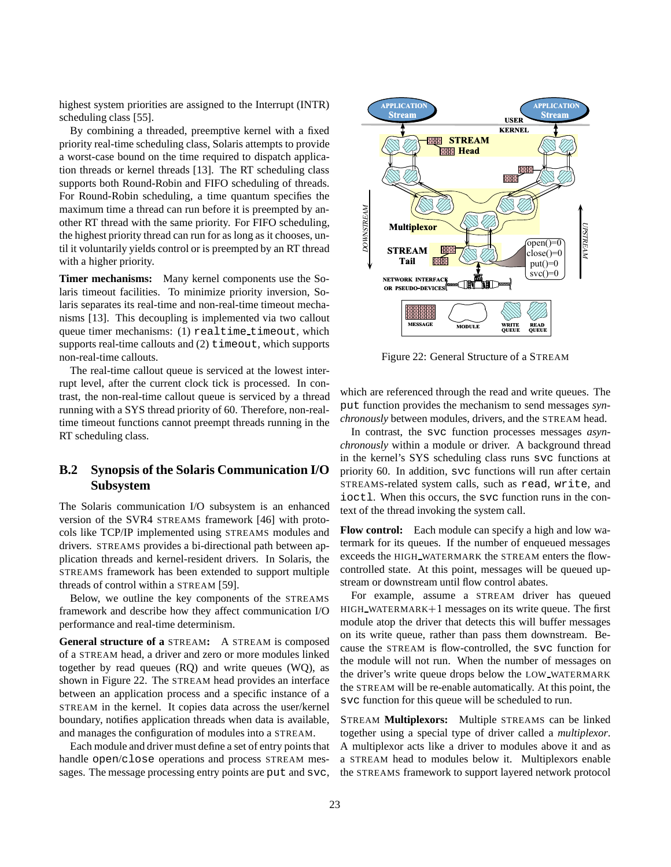highest system priorities are assigned to the Interrupt (INTR) scheduling class [55].

By combining a threaded, preemptive kernel with a fixed priority real-time scheduling class, Solaris attempts to provide a worst-case bound on the time required to dispatch application threads or kernel threads [13]. The RT scheduling class supports both Round-Robin and FIFO scheduling of threads. For Round-Robin scheduling, a time quantum specifies the maximum time a thread can run before it is preempted by another RT thread with the same priority. For FIFO scheduling, the highest priority thread can run for as long as it chooses, until it voluntarily yields control or is preempted by an RT thread with a higher priority.

**Timer mechanisms:** Many kernel components use the Solaris timeout facilities. To minimize priority inversion, Solaris separates its real-time and non-real-time timeout mechanisms [13]. This decoupling is implemented via two callout queue timer mechanisms: (1) realtime\_timeout, which supports real-time callouts and  $(2)$  timeout, which supports non-real-time callouts.

The real-time callout queue is serviced at the lowest interrupt level, after the current clock tick is processed. In contrast, the non-real-time callout queue is serviced by a thread running with a SYS thread priority of 60. Therefore, non-realtime timeout functions cannot preempt threads running in the RT scheduling class.

## **B.2 Synopsis of the Solaris Communication I/O Subsystem**

The Solaris communication I/O subsystem is an enhanced version of the SVR4 STREAMS framework [46] with protocols like TCP/IP implemented using STREAMS modules and drivers. STREAMS provides a bi-directional path between application threads and kernel-resident drivers. In Solaris, the STREAMS framework has been extended to support multiple threads of control within a STREAM [59].

Below, we outline the key components of the STREAMS framework and describe how they affect communication I/O performance and real-time determinism.

**General structure of a** STREAM**:** A STREAM is composed of a STREAM head, a driver and zero or more modules linked together by read queues (RQ) and write queues (WQ), as shown in Figure 22. The STREAM head provides an interface between an application process and a specific instance of a STREAM in the kernel. It copies data across the user/kernel boundary, notifies application threads when data is available, and manages the configuration of modules into a STREAM.

Each module and driver must define a set of entry points that handle open/close operations and process STREAM messages. The message processing entry points are put and svc,



Figure 22: General Structure of a STREAM

which are referenced through the read and write queues. The put function provides the mechanism to send messages *synchronously* between modules, drivers, and the STREAM head.

In contrast, the svc function processes messages *asynchronously* within a module or driver. A background thread in the kernel's SYS scheduling class runs svc functions at priority 60. In addition, svc functions will run after certain STREAMS-related system calls, such as read, write, and ioctl. When this occurs, the svc function runs in the context of the thread invoking the system call.

**Flow control:** Each module can specify a high and low watermark for its queues. If the number of enqueued messages exceeds the HIGH WATERMARK the STREAM enters the flowcontrolled state. At this point, messages will be queued upstream or downstream until flow control abates.

For example, assume a STREAM driver has queued  $HIGH_WATERMARK+1$  messages on its write queue. The first module atop the driver that detects this will buffer messages on its write queue, rather than pass them downstream. Because the STREAM is flow-controlled, the svc function for the module will not run. When the number of messages on the driver's write queue drops below the LOW WATERMARK the STREAM will be re-enable automatically. At this point, the svc function for this queue will be scheduled to run.

STREAM **Multiplexors:** Multiple STREAMS can be linked together using a special type of driver called a *multiplexor*. A multiplexor acts like a driver to modules above it and as a STREAM head to modules below it. Multiplexors enable the STREAMS framework to support layered network protocol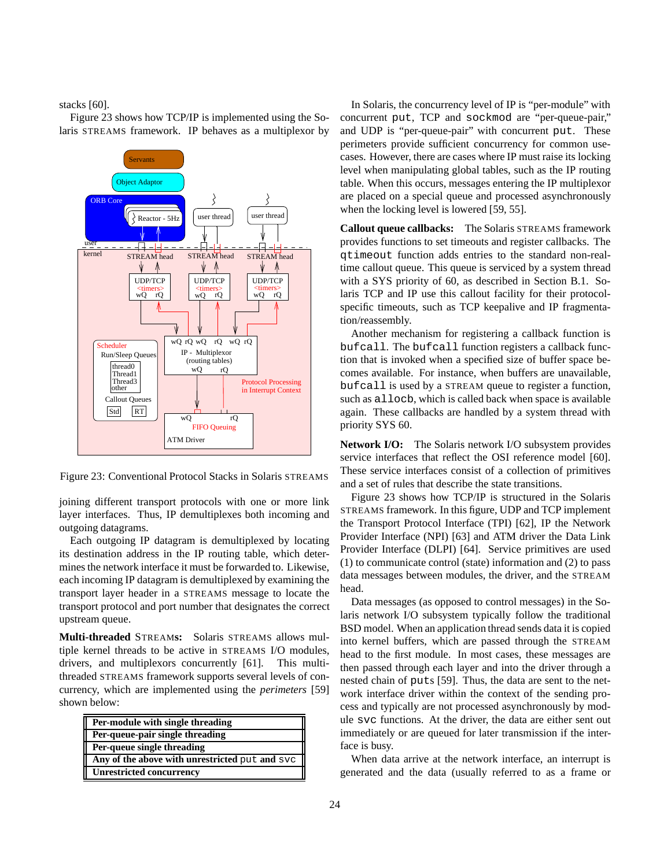stacks [60].

Figure 23 shows how TCP/IP is implemented using the Solaris STREAMS framework. IP behaves as a multiplexor by



Figure 23: Conventional Protocol Stacks in Solaris STREAMS

joining different transport protocols with one or more link layer interfaces. Thus, IP demultiplexes both incoming and outgoing datagrams.

Each outgoing IP datagram is demultiplexed by locating its destination address in the IP routing table, which determines the network interface it must be forwarded to. Likewise, each incoming IP datagram is demultiplexed by examining the transport layer header in a STREAMS message to locate the transport protocol and port number that designates the correct upstream queue.

**Multi-threaded** STREAM**s:** Solaris STREAMS allows multiple kernel threads to be active in STREAMS I/O modules, drivers, and multiplexors concurrently [61]. This multithreaded STREAMS framework supports several levels of concurrency, which are implemented using the *perimeters* [59] shown below:

| Per-module with single threading               |
|------------------------------------------------|
| Per-queue-pair single threading                |
| Per-queue single threading                     |
| Any of the above with unrestricted put and svc |
| <b>Unrestricted concurrency</b>                |

In Solaris, the concurrency level of IP is "per-module" with concurrent put, TCP and sockmod are "per-queue-pair," and UDP is "per-queue-pair" with concurrent put. These perimeters provide sufficient concurrency for common usecases. However, there are cases where IP must raise its locking level when manipulating global tables, such as the IP routing table. When this occurs, messages entering the IP multiplexor are placed on a special queue and processed asynchronously when the locking level is lowered [59, 55].

**Callout queue callbacks:** The Solaris STREAMS framework provides functions to set timeouts and register callbacks. The qtimeout function adds entries to the standard non-realtime callout queue. This queue is serviced by a system thread with a SYS priority of 60, as described in Section B.1. Solaris TCP and IP use this callout facility for their protocolspecific timeouts, such as TCP keepalive and IP fragmentation/reassembly.

Another mechanism for registering a callback function is bufcall. The bufcall function registers a callback function that is invoked when a specified size of buffer space becomes available. For instance, when buffers are unavailable, bufcall is used by a STREAM queue to register a function, such as allocb, which is called back when space is available again. These callbacks are handled by a system thread with priority SYS 60.

**Network I/O:** The Solaris network I/O subsystem provides service interfaces that reflect the OSI reference model [60]. These service interfaces consist of a collection of primitives and a set of rules that describe the state transitions.

Figure 23 shows how TCP/IP is structured in the Solaris STREAMS framework. In this figure, UDP and TCP implement the Transport Protocol Interface (TPI) [62], IP the Network Provider Interface (NPI) [63] and ATM driver the Data Link Provider Interface (DLPI) [64]. Service primitives are used (1) to communicate control (state) information and (2) to pass data messages between modules, the driver, and the STREAM head.

Data messages (as opposed to control messages) in the Solaris network I/O subsystem typically follow the traditional BSD model. When an application thread sends data it is copied into kernel buffers, which are passed through the STREAM head to the first module. In most cases, these messages are then passed through each layer and into the driver through a nested chain of puts [59]. Thus, the data are sent to the network interface driver within the context of the sending process and typically are not processed asynchronously by module svc functions. At the driver, the data are either sent out immediately or are queued for later transmission if the interface is busy.

When data arrive at the network interface, an interrupt is generated and the data (usually referred to as a frame or